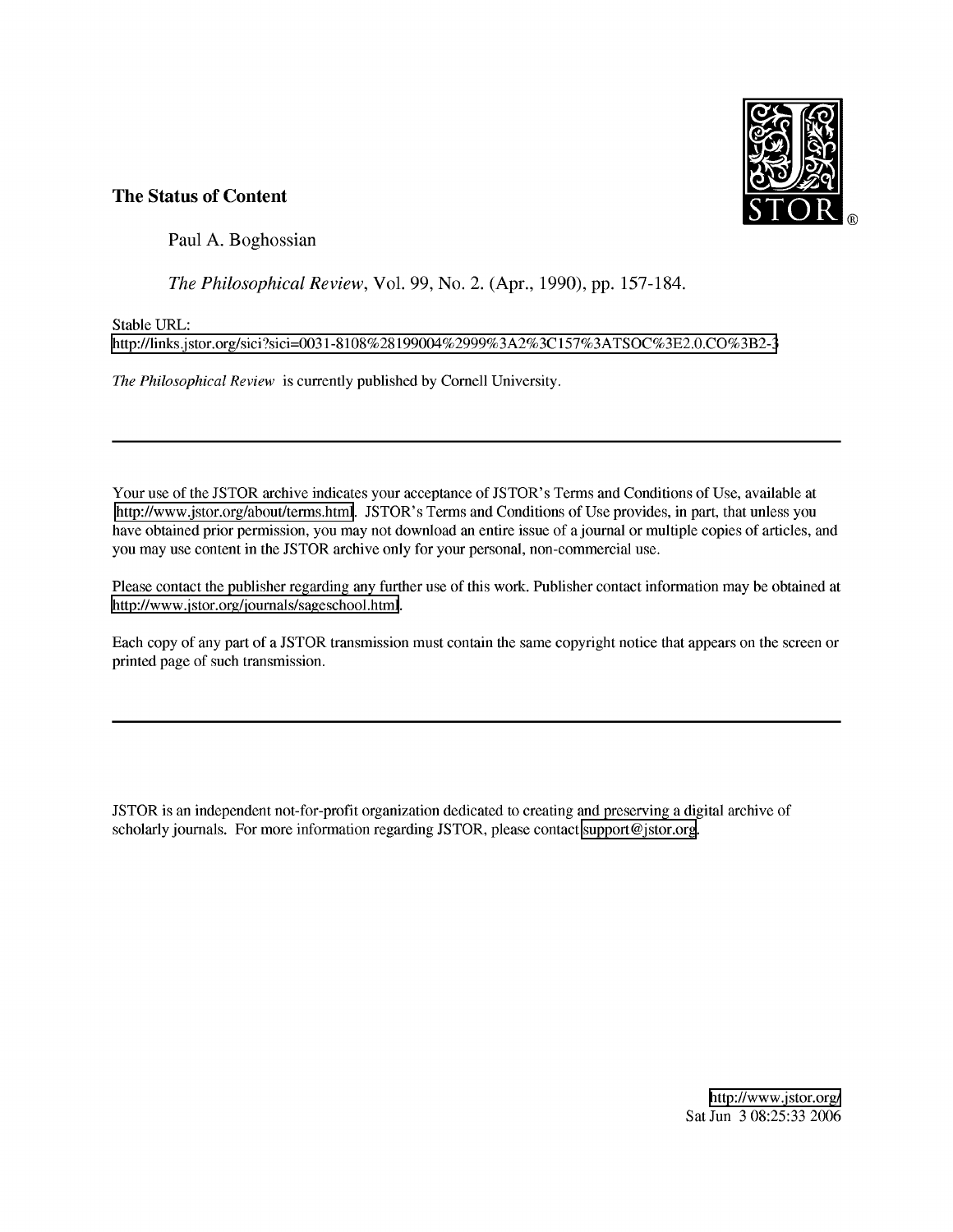

# **The Status of Content**

Paul A. Boghossian

*The Philosophical Review,* Vol. 99, No. 2. (Apr., 1990), pp. 157-184.

Stable URL:

[http://links.jstor.org/sici?sici=0031-8108%28199004%2999%3A2%3C157%3ATSOC%3E2.0.CO%3B2-3](http://links.jstor.org/sici?sici=0031-8108%2528199004%252999%253A2%253C157%253ATSOC%253E2.0.CO%253B2-3)

*The Philosophical Review* is currently published by Cornell University.

Your use of the JSTOR archive indicates your acceptance of JSTOR's Terms and Conditions of Use, available at <http://www.jstor.org/about/terms.html>. JSTOR's Terms and Conditions of Use provides, in part, that unless you have obtained prior permission, you may not download an entire issue of a journal or multiple copies of articles, and you may use content in the JSTOR archive only for your personal, non-commercial use.

Please contact the publisher regarding any further use of this work. Publisher contact information may be obtained at [http://www.jstor.org/jou](http://www.jstor.org/joumals/sageschool.html)rnals/sageschool.html.

Each copy of any part of a JSTOR transmission must contain the same copyright notice that appears on the screen or printed page of such transmission.

JSTOR is an independent not-for-profit organization dedicated to creating and preserving a digital archive of scholarly journals. For more information regarding JSTOR, please contact [support@jstor.org](mailto:support%40jstor.org).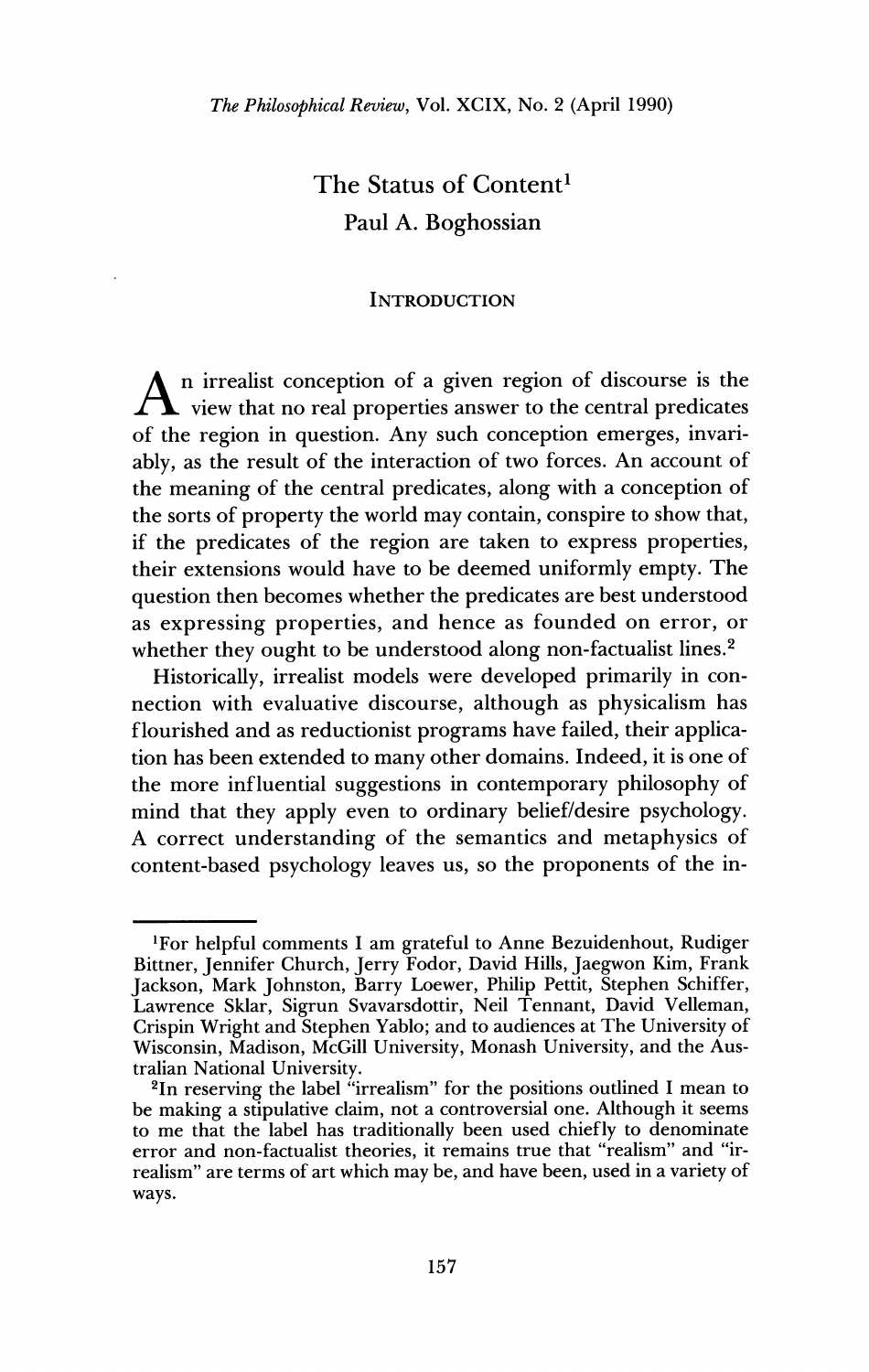# The Status of Content<sup>1</sup> Paul A. Boghossian

#### **INTRODUCTION**

 $\Lambda$  irrealist conception of a given region of discourse is the view that no real properties answer to the central predicates of the region in question. Any such conception emerges, invariview that no real properties answer to the central predicates of the region in question. Any such conception emerges, invariably, as the result of the interaction of two forces. An account of the meaning of the central predicates, along with a conception of the sorts of property the world may contain, conspire to show that, if the predicates of the region are taken to express properties, their extensions would have to be deemed uniformly empty. The question then becomes whether the predicates are best understood as expressing properties, and hence as founded on error, or whether they ought to be understood along non-factualist lines.<sup>2</sup>  $\Lambda$  n irrealist conception of  $\overline{A}$  view that no real properties  $\sum$  we that no real properties and the sorts of property the worl question then becomes whether the

Historically, irrealist models were developed primarily in con-Institution, included and the discourse although as physicalism has nection with evaluative discourse, although as physicalism has flourished and as reductionist programs have failed, their application has been extended to many other domains. Indeed, it is one of the more influential suggestions in contemporary philosophy of mind that they apply even to ordinary belief/desire psychology. A correct understanding of the semantics and metaphysics of content-based psychology leaves us, so the proponents of the inhection with evaluative discourse,

<sup>1</sup>For helpful comments I am grateful to Anne Bezuidenhout, Rudiger Bittner, Jennifer Church, Jerry Fodor, David Hills, Jaegwon Kim, Frank Jackson, Mark Johnston, Barry Loewer, Philip Pettit, Stephen Schiffer, Lawrence Sklar, Sigrun Svavarsdottir, Neil Tennant, David Velleman, Crispin Wright and Stephen Yablo; and to audiences at The University of Wisconsin, Madison, McGill University, Monash University, and the Australian National University.

<sup>&</sup>lt;sup>2</sup>In reserving the label "irrealism" for the positions outlined I mean to be making a stipulative claim, not a controversial one. Although it seems to me that the label has traditionally been used chiefly to denominate error and non-factualist theories, it remains true that "realism" and "irrealism" are terms of art which may be, and have been, used in a variety of ways.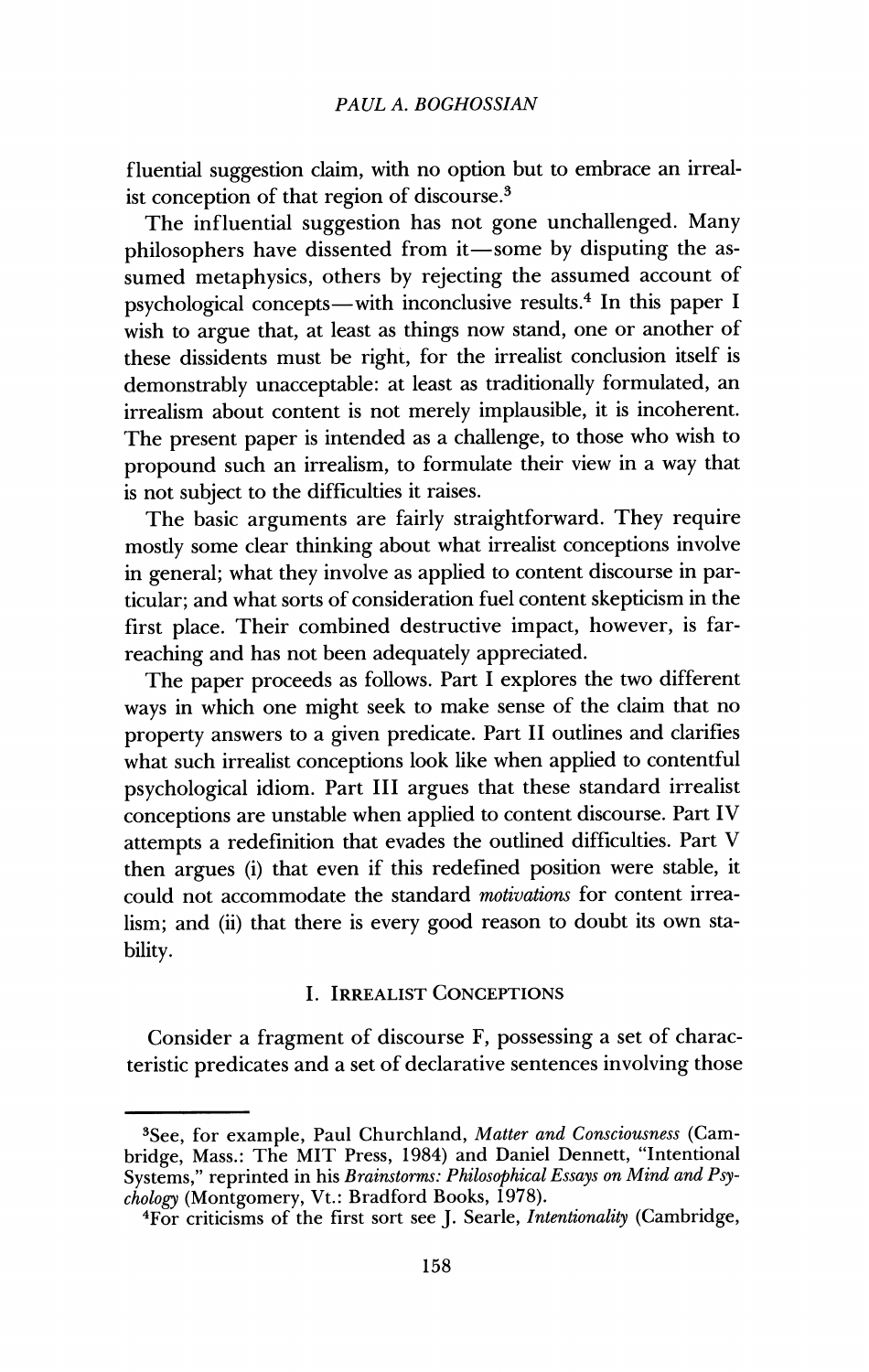fluential suggestion claim, with no option but to embrace an irrealist conception of that region of discourse.<sup>3</sup>

The influential suggestion has not gone unchallenged. Many philosophers have dissented from it—some by disputing the assumed metaphysics, others by rejecting the assumed account of psychological concepts—with inconclusive results.<sup>4</sup> In this paper I wish to argue that, at least as things now stand, one or another of these dissidents must be right, for the irrealist conclusion itself is demonstrably unacceptable: at least as traditionally formulated, an irrealism about content is not merely implausible, it is incoherent. The present paper is intended as a challenge, to those who wish to propound such an irrealism, to formulate their view in a way that is not subject to the difficulties it raises.

The basic arguments are fairly straightforward. They require mostly some clear thinking about what irrealist conceptions involve in general; what they involve as applied to content discourse in particular; and what sorts of consideration fuel content skepticism in the first place. Their combined destructive impact, however, is farreaching and has not been adequately appreciated.

The paper proceeds as follows. Part I explores the two different ways in which one might seek to make sense of the claim that no property answers to a given predicate. Part II outlines and clarifies what such irrealist conceptions look like when applied to contentful psychological idiom. Part III argues that these standard irrealist conceptions are unstable when applied to content discourse. Part IV attempts a redefinition that evades the outlined difficulties. Part V then argues (i) that even if this redefined position were stable, it could not accommodate the standard *motivations* for content irrealism; and (ii) that there is every good reason to doubt its own stability.

## I. Irrealist Conceptions

Consider a fragment of discourse F, possessing a set of characteristic predicates and a set of declarative sentences involving those

<sup>3</sup>See, for example, Paul Churchland, *Matter and Consciousness* (Cambridge, Mass.: The MIT Press, 1984) and Daniel Dennett, "Intentional Systems," reprinted in his *Brainstorms: Philosophical Essays on Mind and Psychology* (Montgomery, Vt.: Bradford Books, 1978).

<sup>4</sup>For criticisms of the first sort see J. Searle, *Intentionality* (Cambridge,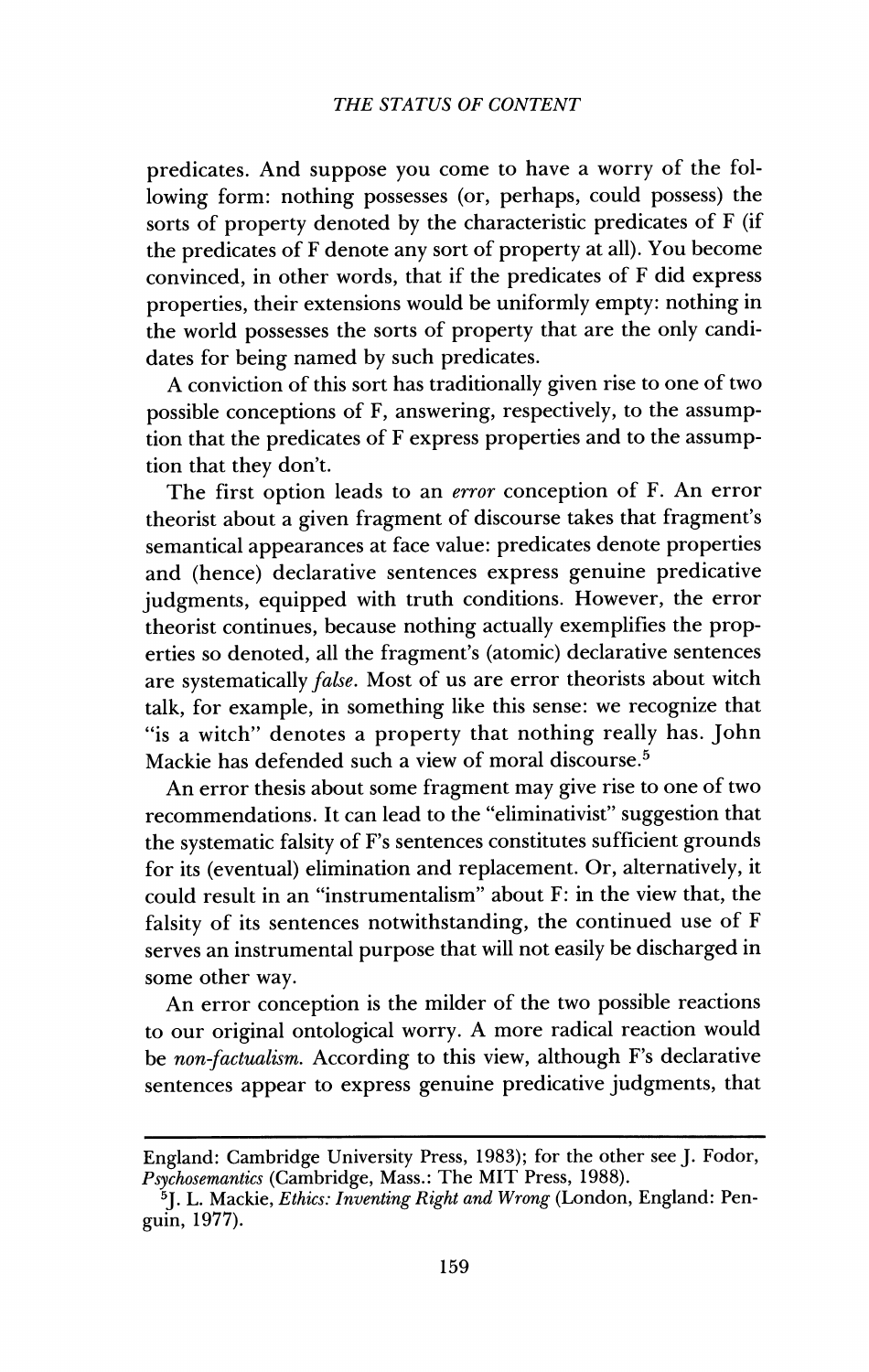predicates. And suppose you come to have a worry of the following form: nothing possesses (or, perhaps, could possess) the sorts of property denoted by the characteristic predicates of F (if the predicates of F denote any sort of property at all). You become convinced, in other words, that if the predicates of F did express properties, their extensions would be uniformly empty: nothing in the world possesses the sorts of property that are the only candidates for being named by such predicates.

A conviction of this sort has traditionally given rise to one of two possible conceptions of F, answering, respectively, to the assumption that the predicates of F express properties and to the assumption that they don't.

The first option leads to an *error* conception of F. An error theorist about a given fragment of discourse takes that fragment'<sup>s</sup> semantical appearances at face value: predicates denote properties and (hence) declarative sentences express genuine predicative judgments, equipped with truth conditions. However, the error theorist continues, because nothing actually exemplifies the properties so denoted, all the fragment's (atomic) declarative sentences are systematically *false.* Most of us are error theorists about witch talk, for example, in something like this sense: we recognize that "is a witch" denotes a property that nothing really has. John Mackie has defended such a view of moral discourse.<sup>5</sup>

An error thesis about some fragment may give rise to one of two recommendations. It can lead to the "eliminativist" suggestion that the systematic falsity of F's sentences constitutes sufficient grounds for its (eventual) elimination and replacement. Or, alternatively, it could result in an "instrumentalism" about F: in the view that, the falsity of its sentences notwithstanding, the continued use of F serves an instrumental purpose that will not easily be discharged in some other way.

An error conception is the milder of the two possible reactions to our original ontological worry. A more radical reaction would be *non-factualism.* According to this view, although F's declarative sentences appear to express genuine predicative judgments, that

England: Cambridge University Press, 1983); for the other see J. Fodor, *Psychosemantics* (Cambridge, Mass.: The MIT Press, 1988).

<sup>5</sup>J. L. Mackie, *Ethics: Inventing Right and Wrong* (London, England: Penguin, 1977).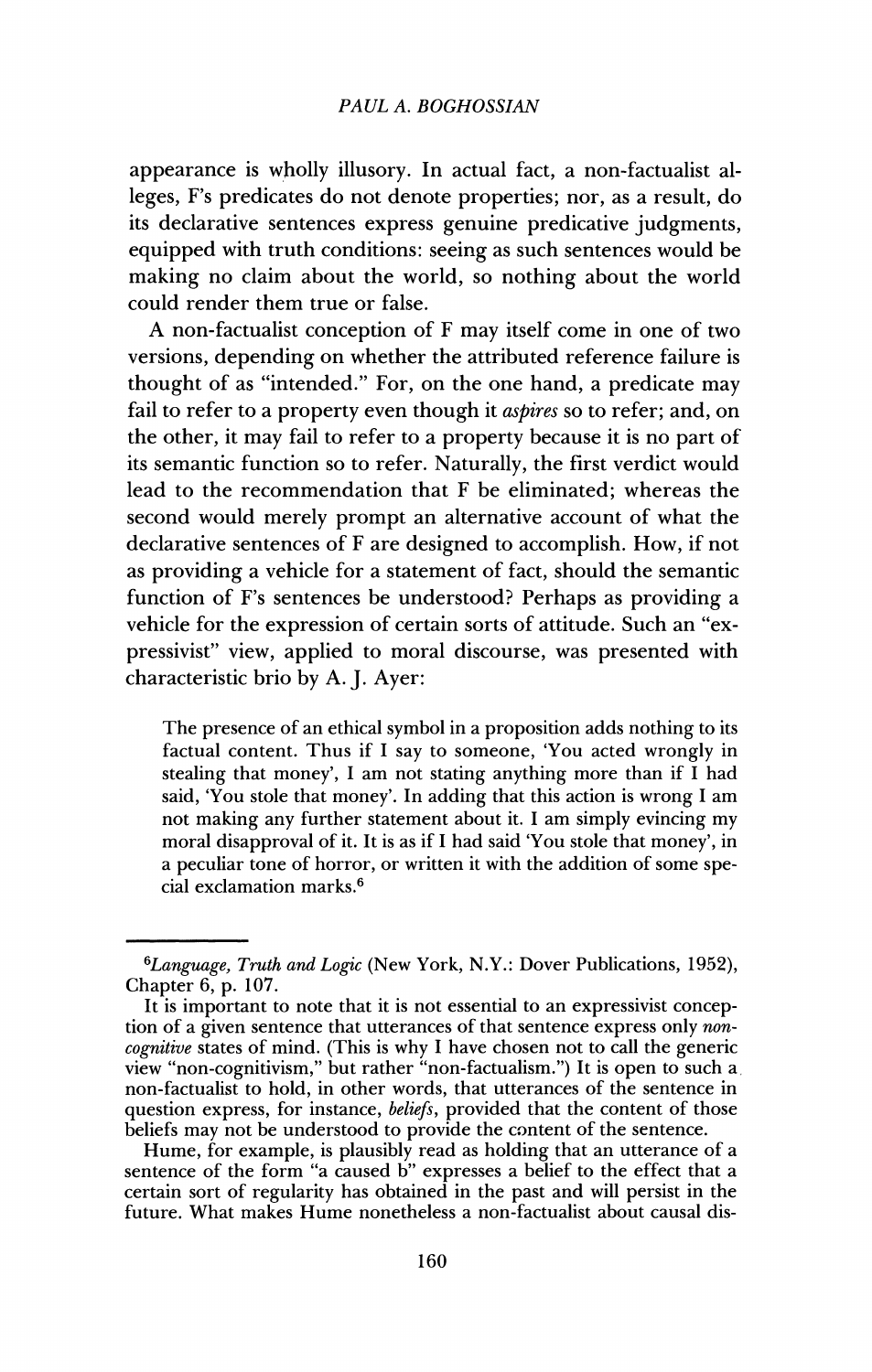appearance is wholly illusory. In actual fact, a non-factualist alleges, F's predicates do not denote properties; nor, as a result, do its declarative sentences express genuine predicative judgments, equipped with truth conditions: seeing as such sentences would be making no claim about the world, so nothing about the world could render them true or false.

A non-factualist conception of F may itself come in one of two versions, depending on whether the attributed reference failure is thought of as "intended." For, on the one hand, a predicate may fail to refer to a property even though it *aspires* so to refer; and, on the other, it may fail to refer to a property because it is no part of its semantic function so to refer. Naturally, the first verdict would lead to the recommendation that F be eliminated; whereas the second would merely prompt an alternative account of what the declarative sentences of F are designed to accomplish. How, if not as providing a vehicle for a statement of fact, should the semantic function of F's sentences be understood? Perhaps as providing a vehicle for the expression of certain sorts of attitude. Such an "expressivist" view, applied to moral discourse, was presented with characteristic brio by A. J. Ayer:

The presence of an ethical symbol in a proposition adds nothing to its factual content. Thus if I say to someone, 'You acted wrongly in stealing that money', I am not stating anything more than if I had said, 'You stole that money'. In adding that this action is wrong I am not making any further statement about it. I am simply evincing my moral disapproval of it. It is as if I had said 'You stole that money', in a peculiar tone of horror, or written it with the addition of some special exclamation marks.<sup>6</sup>

Hume, for example, is plausibly read as holding that an utterance of a sentence of the form "a caused b" expresses a belief to the effect that a certain sort of regularity has obtained in the past and will persist in the future. What makes Hume nonetheless a non-factualist about causal dis-

*<sup>6</sup>Language, Truth and Logic* (New York, N.Y.: Dover Publications, 1952), Chapter 6, p. 107.

It is important to note that it is not essential to an expressivist conception of a given sentence that utterances of that sentence express only *noncognitive* states of mind. (This is why I have chosen not to call the generic view "non-cognitivism," but rather "non-factualism.") It is open to such a non-factualist to hold, in other words, that utterances of the sentence in question express, for instance, *beliefs,* provided that the content of those beliefs may not be understood to provide the content of the sentence.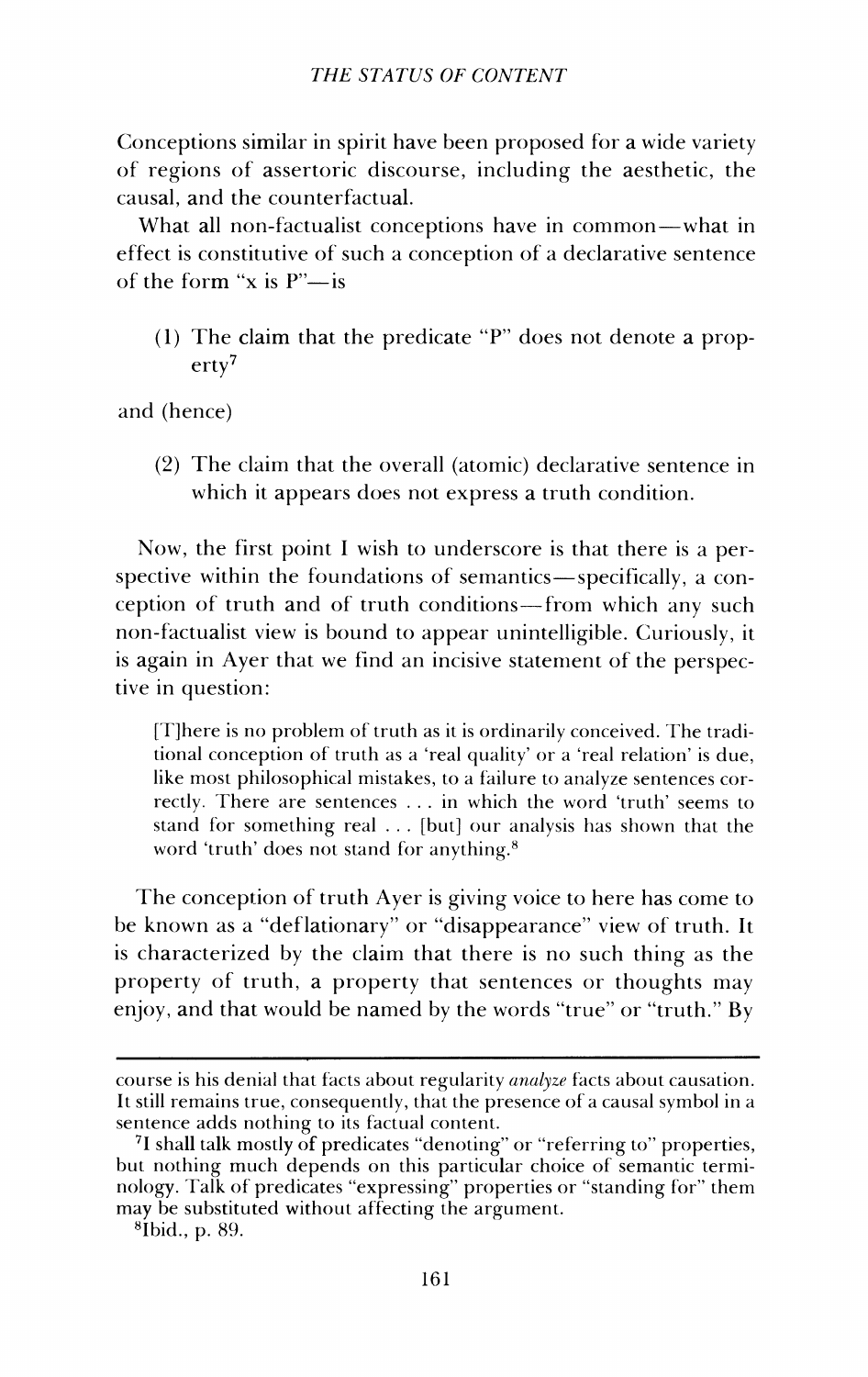Conceptions similar in spirit have been proposed for a wide variety of regions of assertoric discourse, including the aesthetic, the causal, and the counterfactual.

What all non-factualist conceptions have in common—what in effect is constitutive of such a conception of a declarative sentence of the form "x is P"—is

(1) The claim that the predicate "P" does not denote a prop- $\text{ertv}^7$ 

and (hence)

(2) The claim that the overall (atomic) declarative sentence in which it appears does not express a truth condition.

Now, the first point I wish to underscore is that there is a perspective within the foundations of semantics—specifically, a conception of truth and of truth conditions—from which any such non-factualist view is bound to appear unintelligible. Curiously, it is again in Ayer that we find an incisive statement of the perspective in question:

[T]here is no problem of truth as it is ordinarily conceived. The traditional conception of truth as a 'real quality' or a 'real relation' is due, like most philosophical mistakes, to a failure to analyze sentences correctly. There are sentences ... in which the word 'truth' seems to stand for something real . . . [but] our analysis has shown that the word 'truth' does not stand for anything.<sup>8</sup>

The conception of truth Ayer is giving voice to here has come to be known as a "deflationary" or "disappearance" view of truth. It is characterized by the claim that there is no such thing as the property of truth, a property that sentences or thoughts may enjoy, and that would be named by the words "true" or "truth." By

course is his denial that facts about regularity *analyze* facts about causation. It still remains true, consequently, that the presence of a causal symbol in a sentence adds nothing to its factual content.

<sup>&</sup>lt;sup>7</sup>I shall talk mostly of predicates "denoting" or "referring to" properties, but nothing much depends on this particular choice of semantic terminology. Talk of predicates "expressing" properties or "standing for" them may be substituted without affecting the argument.

<sup>8</sup>Ibid., p. 89.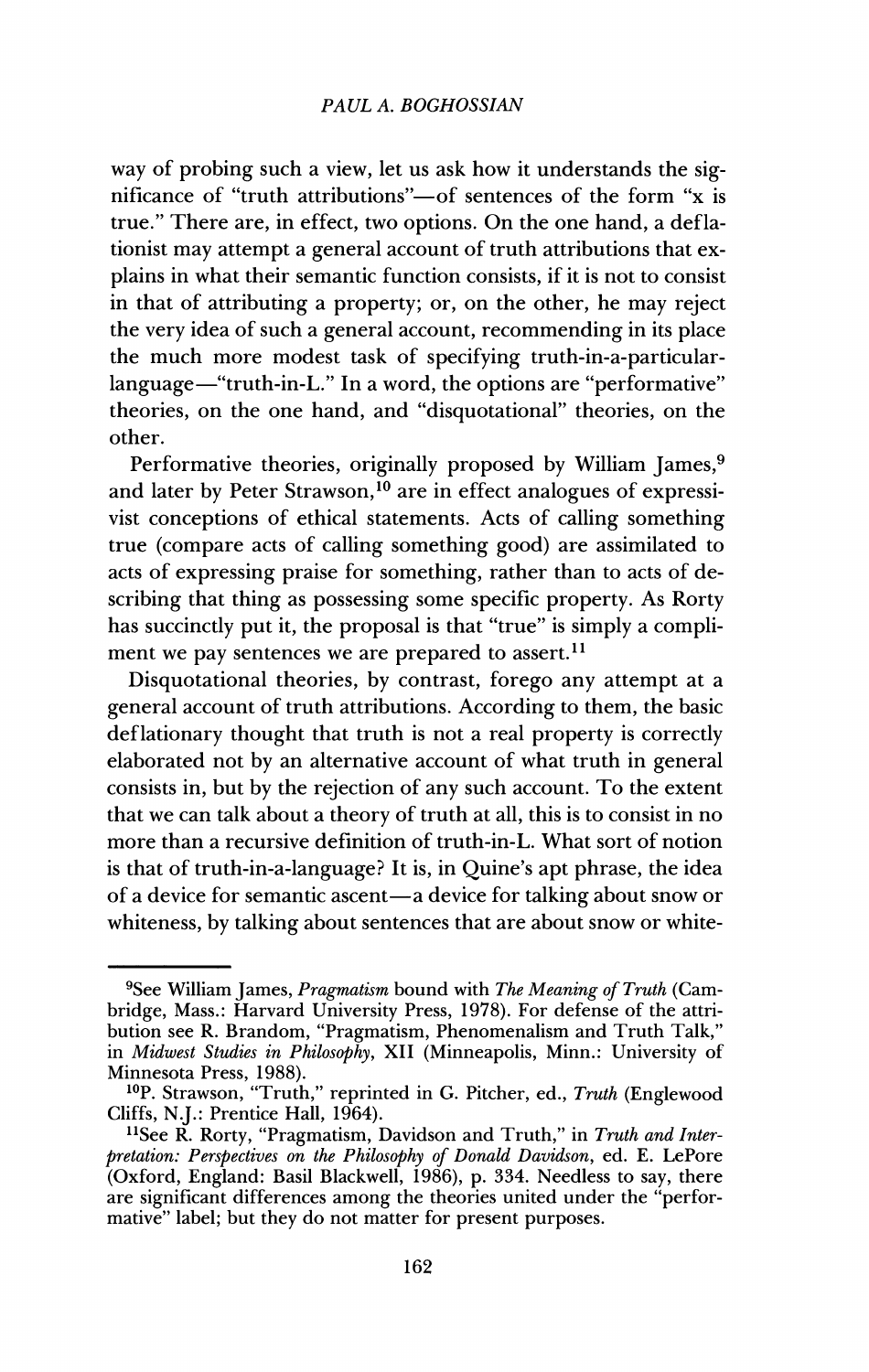way of probing such a view, let us ask how it understands the significance of "truth attributions"—of sentences of the form "x is true." There are, in effect, two options. On the one hand, a deflationist may attempt a general account of truth attributions that explains in what their semantic function consists, if it is not to consist in that of attributing a property; or, on the other, he may reject the very idea of such a general account, recommending in its place the much more modest task of specifying truth-in-a-particularlanguage—"truth-in-L." In a word, the options are "performative" theories, on the one hand, and "disquotational" theories, on the other.

Performative theories, originally proposed by William James,<sup>9</sup> and later by Peter Strawson,<sup>10</sup> are in effect analogues of expressivist conceptions of ethical statements. Acts of calling something true (compare acts of calling something good) are assimilated to acts of expressing praise for something, rather than to acts of describing that thing as possessing some specific property. As Rorty has succinctly put it, the proposal is that "true" is simply a compliment we pay sentences we are prepared to assert.<sup>11</sup>

Disquotational theories, by contrast, forego any attempt at a general account of truth attributions. According to them, the basic deflationary thought that truth is not a real property is correctly elaborated not by an alternative account of what truth in general consists in, but by the rejection of any such account. To the extent that we can talk about a theory of truth at all, this is to consist in no more than a recursive definition of truth-in-L. What sort of notion is that of truth-in-a-language? It is, in Quine'<sup>s</sup> apt phrase, the idea of a device for semantic ascent—a device for talking about snow or whiteness, by talking about sentences that are about snow or white-

<sup>9</sup>See William James, *Pragmatism* bound with *The Meaning of Truth* (Cambridge, Mass.: Harvard University Press, 1978). For defense of the attribution see R. Brandom, "Pragmatism, Phenomenalism and Truth Talk," in *Midwest Studies in Philosophy,* XII (Minneapolis, Minn.: University of Minnesota Press, 1988).

<sup>10</sup>P. Strawson, "Truth," reprinted in G. Pitcher, ed., *Truth* (Englewood Cliffs, N.J.: Prentice Hall, 1964).

<sup>11</sup>See R. Rorty, "Pragmatism, Davidson and Truth," in *Truth and Interpretation: Perspectives on the Philosophy of Donald Davidson,* ed. E. LePore (Oxford, England: Basil Blackwell, 1986), p. 334. Needless to say, there are significant differences among the theories united under the "performative" label; but they do not matter for present purposes.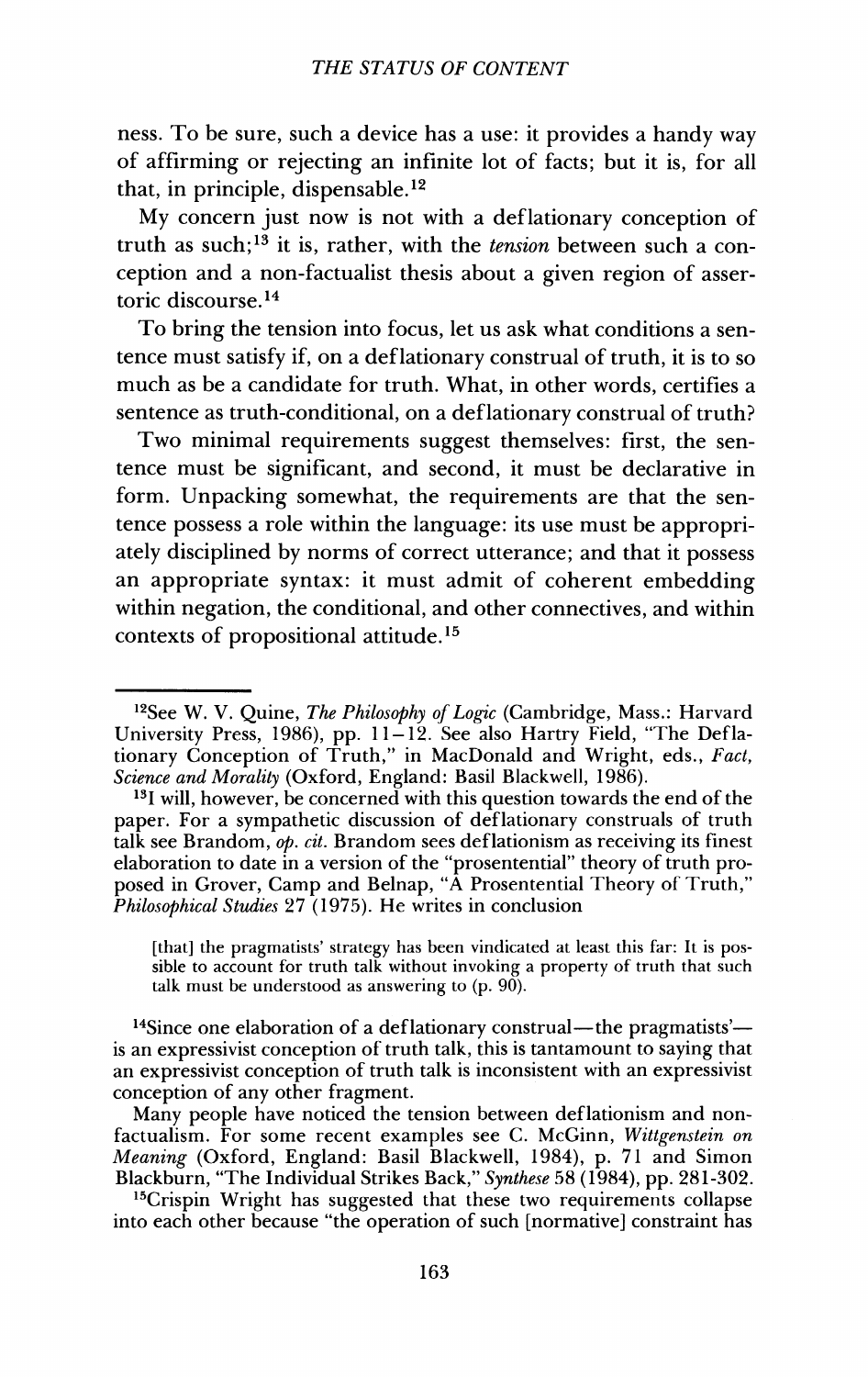ness. To be sure, such a device has a use: it provides a handy way of affirming or rejecting an infinite lot of facts; but it is, for all that, in principle, dispensable.<sup>12</sup>

My concern just now is not with a deflationary conception of truth as such;<sup>13</sup> it is, rather, with the *tension* between such a conception and a non-factualist thesis about a given region of assertoric discourse.<sup>14</sup>

To bring the tension into focus, let us ask what conditions a sentence must satisfy if, on a deflationary construal of truth, it is to so much as be a candidate for truth. What, in other words, certifies a sentence as truth-conditional, on a deflationary construal of truth?

Two minimal requirements suggest themselves: first, the sentence must be significant, and second, it must be declarative in form. Unpacking somewhat, the requirements are that the sentence possess a role within the language: its use must be appropriately disciplined by norms of correct utterance; and that it possess an appropriate syntax: it must admit of coherent embedding within negation, the conditional, and other connectives, and within contexts of propositional attitude.<sup>15</sup>

<sup>14</sup>Since one elaboration of a deflationary construal—the pragmatists' is an expressivist conception of truth talk, this is tantamount to saying that an expressivist conception of truth talk is inconsistent with an expressivist conception of any other fragment.

<sup>12</sup>See W. V. Quine, *The Philosophy of Logic* (Cambridge, Mass.: Harvard University Press, 1986), pp. 11-12. See also Hartry Field, "The Deflationary Conception of Truth," in MacDonald and Wright, eds., *Fact, Science and Morality* (Oxford, England: Basil Blackwell, 1986).

 $13$ I will, however, be concerned with this question towards the end of the paper. For a sympathetic discussion of deflationary construals of truth talk see Brandom, *op. cit.* Brandom sees deflationism as receiving its finest elaboration to date in a version of the "prosentential" theory of truth proposed in Grover, Camp and Belnap, "A Prosentential Theory of Truth," *Philosophical Studies* 27 (1975). He writes in conclusion

<sup>[</sup>that] the pragmatists' strategy has been vindicated at least this far: It is possible to account for truth talk without invoking a property of truth that such talk must be understood as answering to (p. 90).

Many people have noticed the tension between deflationism and nonfactualism. For some recent examples see C. McGinn, *Wittgenstein on Meaning* (Oxford, England: Basil Blackwell, 1984), p. 71 and Simon Blackburn, "The Individual Strikes Back," *Synthese* 58 (1984), pp. 281-302.

<sup>&</sup>lt;sup>15</sup>Crispin Wright has suggested that these two requirements collapse into each other because "the operation of such [normative] constraint has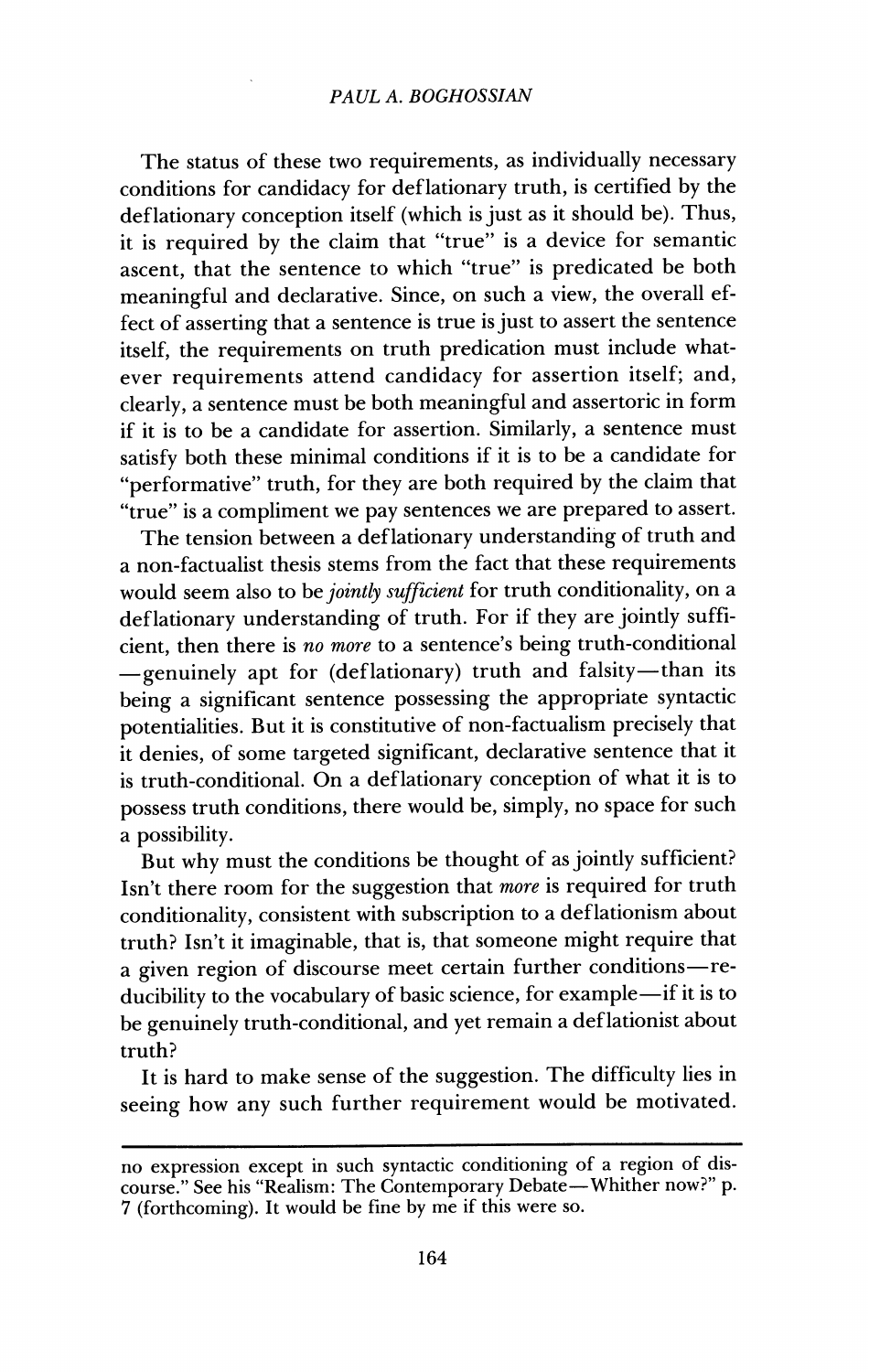The status of these two requirements, as individually necessary conditions for candidacy for deflationary truth, is certified by the deflationary conception itself (which is just as it should be). Thus, it is required by the claim that "true" is a device for semantic ascent, that the sentence to which "true" is predicated be both meaningful and declarative. Since, on such a view, the overall effect of asserting that a sentence is true is just to assert the sentence itself, the requirements on truth predication must include whatever requirements attend candidacy for assertion itself; and, clearly, a sentence must be both meaningful and assertoric in form if it is to be a candidate for assertion. Similarly, a sentence must satisfy both these minimal conditions if it is to be a candidate for "performative" truth, for they are both required by the claim that "true" is a compliment we pay sentences we are prepared to assert.

The tension between a deflationary understanding of truth and a non-factualist thesis stems from the fact that these requirements would seem also to *be jointly sufficient* for truth conditionality, on a deflationary understanding of truth. For if they are jointly sufficient, then there is *no more* to a sentence's being truth-conditional —genuinely apt for (deflationary) truth and falsity—than its being a significant sentence possessing the appropriate syntactic potentialities. But it is constitutive of non-factualism precisely that it denies, of some targeted significant, declarative sentence that it is truth-conditional. On a deflationary conception of what it is to possess truth conditions, there would be, simply, no space for such a possibility.

But why must the conditions be thought of as jointly sufficient? Isn't there room for the suggestion that *more* is required for truth conditionality, consistent with subscription to a deflationism about truth? Isn't it imaginable, that is, that someone might require that a given region of discourse meet certain further conditions—reducibility to the vocabulary of basic science, for example—if it is to be genuinely truth-conditional, and yet remain a deflationist about truth?

It is hard to make sense of the suggestion. The difficulty lies in seeing how any such further requirement would be motivated.

no expression except in such syntactic conditioning of a region of discourse." See his "Realism: The Contemporary Debate—Whither now?" p. 7 (forthcoming). It would be fine by me if this were so.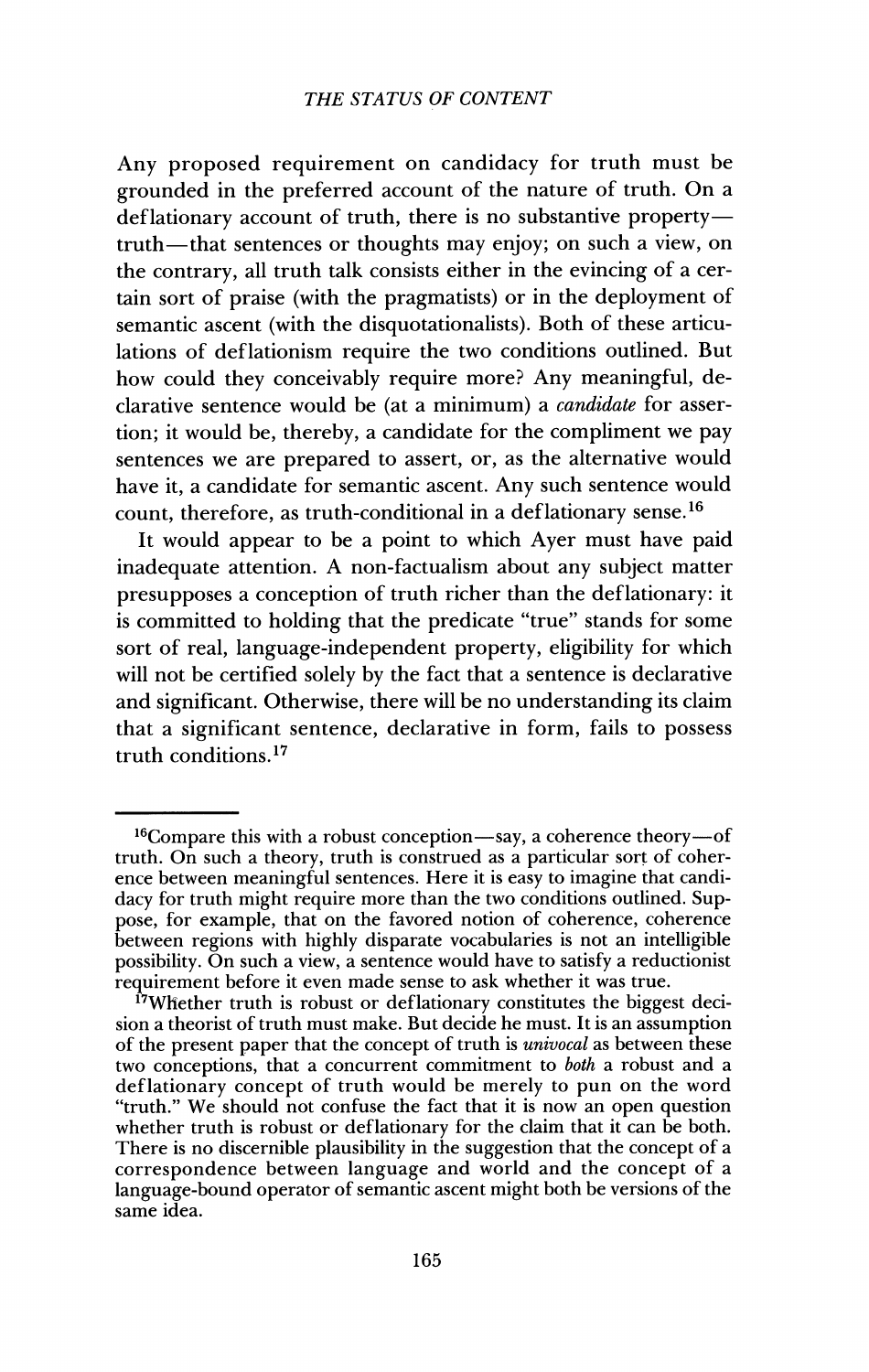Any proposed requirement on candidacy for truth must be grounded in the preferred account of the nature of truth. On a deflationary account of truth, there is no substantive property truth—that sentences or thoughts may enjoy; on such a view, on the contrary, all truth talk consists either in the evincing of a certain sort of praise (with the pragmatists) or in the deployment of semantic ascent (with the disquotationalists). Both of these articulations of deflationism require the two conditions outlined. But how could they conceivably require more? Any meaningful, declarative sentence would be (at a minimum) a *candidate* for assertion; it would be, thereby, a candidate for the compliment we pay sentences we are prepared to assert, or, as the alternative would have it, a candidate for semantic ascent. Any such sentence would count, therefore, as truth-conditional in a deflationary sense.<sup>16</sup>

It would appear to be a point to which Ayer must have paid inadequate attention. A non-factualism about any subject matter presupposes a conception of truth richer than the deflationary: it is committed to holding that the predicate "true" stands for some sort of real, language-independent property, eligibility for which will not be certified solely by the fact that a sentence is declarative and significant. Otherwise, there will be no understanding its claim that a significant sentence, declarative in form, fails to possess truth conditions.<sup>17</sup>

 $16$ Compare this with a robust conception—say, a coherence theory—of truth. On such a theory, truth is construed as a particular sort of coherence between meaningful sentences. Here it is easy to imagine that candidacy for truth might require more than the two conditions outlined. Suppose, for example, that on the favored notion of coherence, coherence between regions with highly disparate vocabularies is not an intelligible possibility. On such a view, a sentence would have to satisfy a reductionist requirement before it even made sense to ask whether it was true.

 $17$ Whether truth is robust or deflationary constitutes the biggest decision a theorist of truth must make. But decide he must. It is an assumption of the present paper that the concept of truth is *univocal* as between these two conceptions, that a concurrent commitment to *both* a robust and a deflationary concept of truth would be merely to pun on the word "truth." We should not confuse the fact that it is now an open question whether truth is robust or deflationary for the claim that it can be both. There is no discernible plausibility in the suggestion that the concept of a correspondence between language and world and the concept of a language-bound operator of semantic ascent might both be versions of the same idea.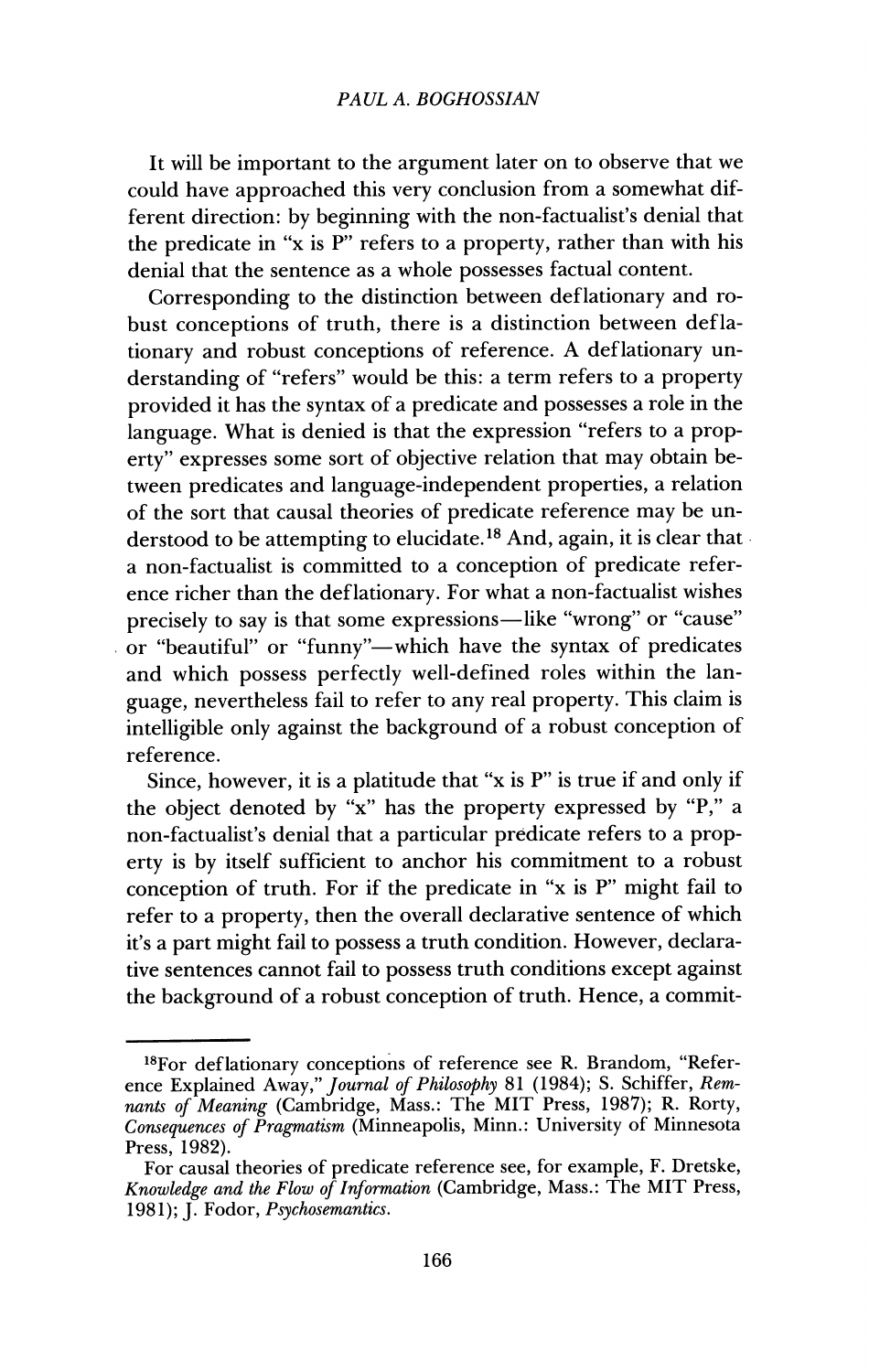It will be important to the argument later on to observe that we could have approached this very conclusion from a somewhat different direction: by beginning with the non-factualist's denial that the predicate in "x is  $\overrightarrow{P}$ " refers to a property, rather than with his denial that the sentence as a whole possesses factual content.

Corresponding to the distinction between deflationary and robust conceptions of truth, there is a distinction between deflationary and robust conceptions of reference. A deflationary understanding of "refers" would be this: a term refers to a property provided it has the syntax of a predicate and possesses a role in the language. What is denied is that the expression "refers to a property" expresses some sort of objective relation that may obtain between predicates and language-independent properties, a relation of the sort that causal theories of predicate reference may be understood to be attempting to elucidate.<sup>18</sup> And, again, it is clear that a non-factualist is committed to a conception of predicate reference richer than the deflationary. For what a non-factualist wishes precisely to say is that some expressions—like "wrong" or "cause" or "beautiful" or "funny"—which have the syntax of predicates and which possess perfectly well-defined roles within the language, nevertheless fail to refer to any real property. This claim is intelligible only against the background of a robust conception of reference.

Since, however, it is a platitude that "x is P" is true if and only if the object denoted by "x" has the property expressed by "P," a non-factualist's denial that a particular predicate refers to a property is by itself sufficient to anchor his commitment to a robust conception of truth. For if the predicate in "x is P" might fail to refer to a property, then the overall declarative sentence of which it's a part might fail to possess a truth condition. However, declarative sentences cannot fail to possess truth conditions except against the background of a robust conception of truth. Hence, a commit-

<sup>18</sup>For deflationary conceptions of reference see R. Brandom, "Reference Explained Away," *Journal of Philosophy* 81 (1984); S. Schiffer, *Remnants of Meaning* (Cambridge, Mass.: The MIT Press, 1987); R. Rorty, *Consequences of Pragmatism* (Minneapolis, Minn.: University of Minnesota Press, 1982).

For causal theories of predicate reference see, for example, F. Dretske, *Knowledge and the Flow ofInformation* (Cambridge, Mass.: The MIT Press, 1981); J. Fodor, *Psychosemantics.*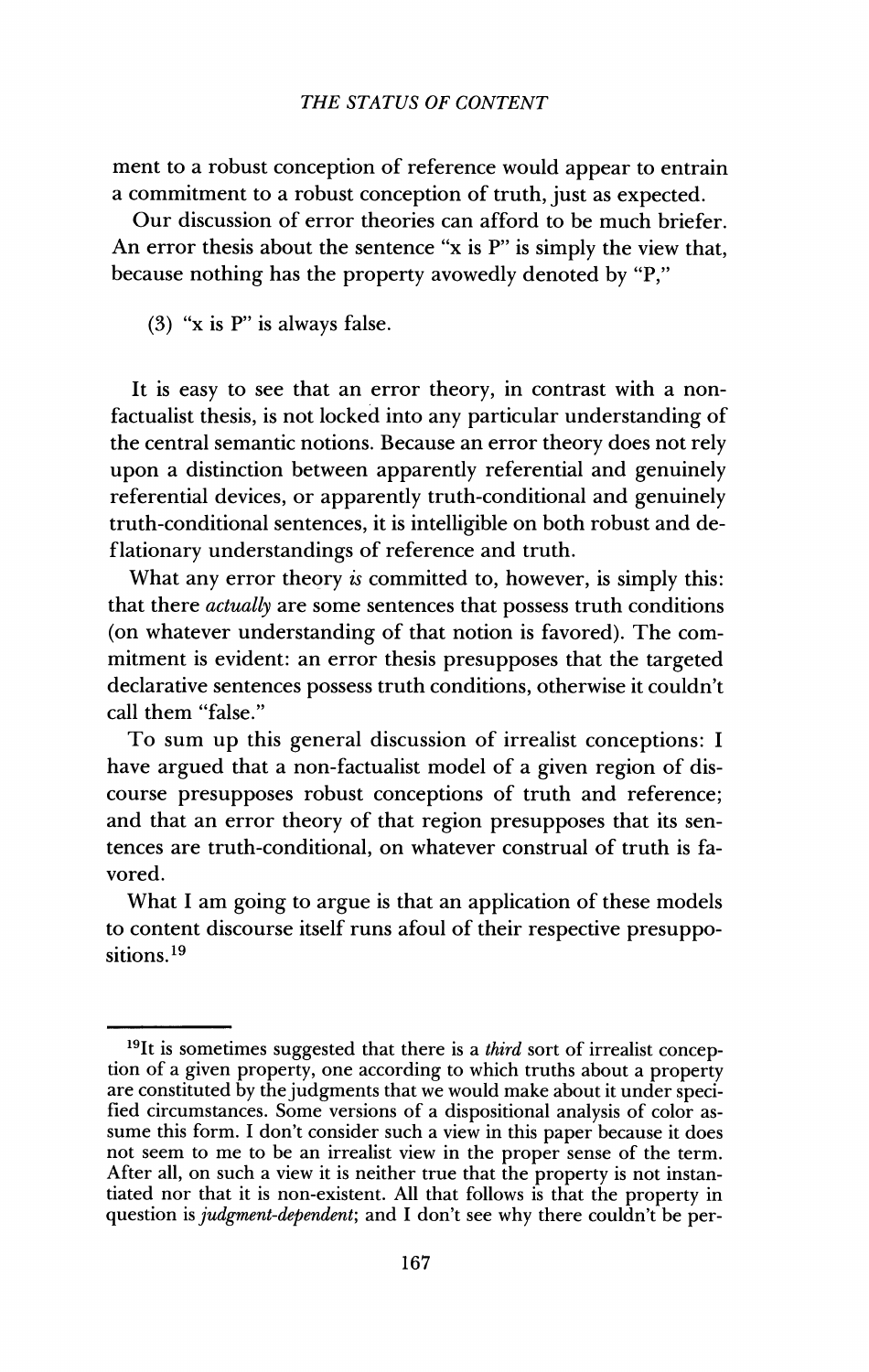ment to a robust conception of reference would appear to entrain a commitment to a robust conception of truth, just as expected.

Our discussion of error theories can afford to be much briefer. An error thesis about the sentence "x is P" is simply the view that, because nothing has the property avowedly denoted by "P,"

(3) "x is P" is always false.

It is easy to see that an error theory, in contrast with a nonfactualist thesis, is not locked into any particular understanding of the central semantic notions. Because an error theory does not rely upon a distinction between apparently referential and genuinely referential devices, or apparently truth-conditional and genuinely truth-conditional sentences, it is intelligible on both robust and deflationary understandings of reference and truth.

What any error theory *is* committed to, however, is simply this: that there *actually* are some sentences that possess truth conditions (on whatever understanding of that notion is favored). The commitment is evident: an error thesis presupposes that the targeted declarative sentences possess truth conditions, otherwise it couldn't call them "false."

To sum up this general discussion of irrealist conceptions: I have argued that a non-factualist model of a given region of discourse presupposes robust conceptions of truth and reference; and that an error theory of that region presupposes that its sentences are truth-conditional, on whatever construal of truth is favored.

What I am going to argue is that an application of these models to content discourse itself runs afoul of their respective presuppositions.<sup>19</sup>

<sup>19</sup>It is sometimes suggested that there is a *third* sort of irrealist conception of a given property, one according to which truths about a property are constituted by the judgments that we would make about it under specified circumstances. Some versions of a dispositional analysis of color assume this form. I don't consider such a view in this paper because it does not seem to me to be an irrealist view in the proper sense of the term. After all, on such a view it is neither true that the property is not instantiated nor that it is non-existent. All that follows is that the property in question is *judgment-dependent*; and I don't see why there couldn't be per-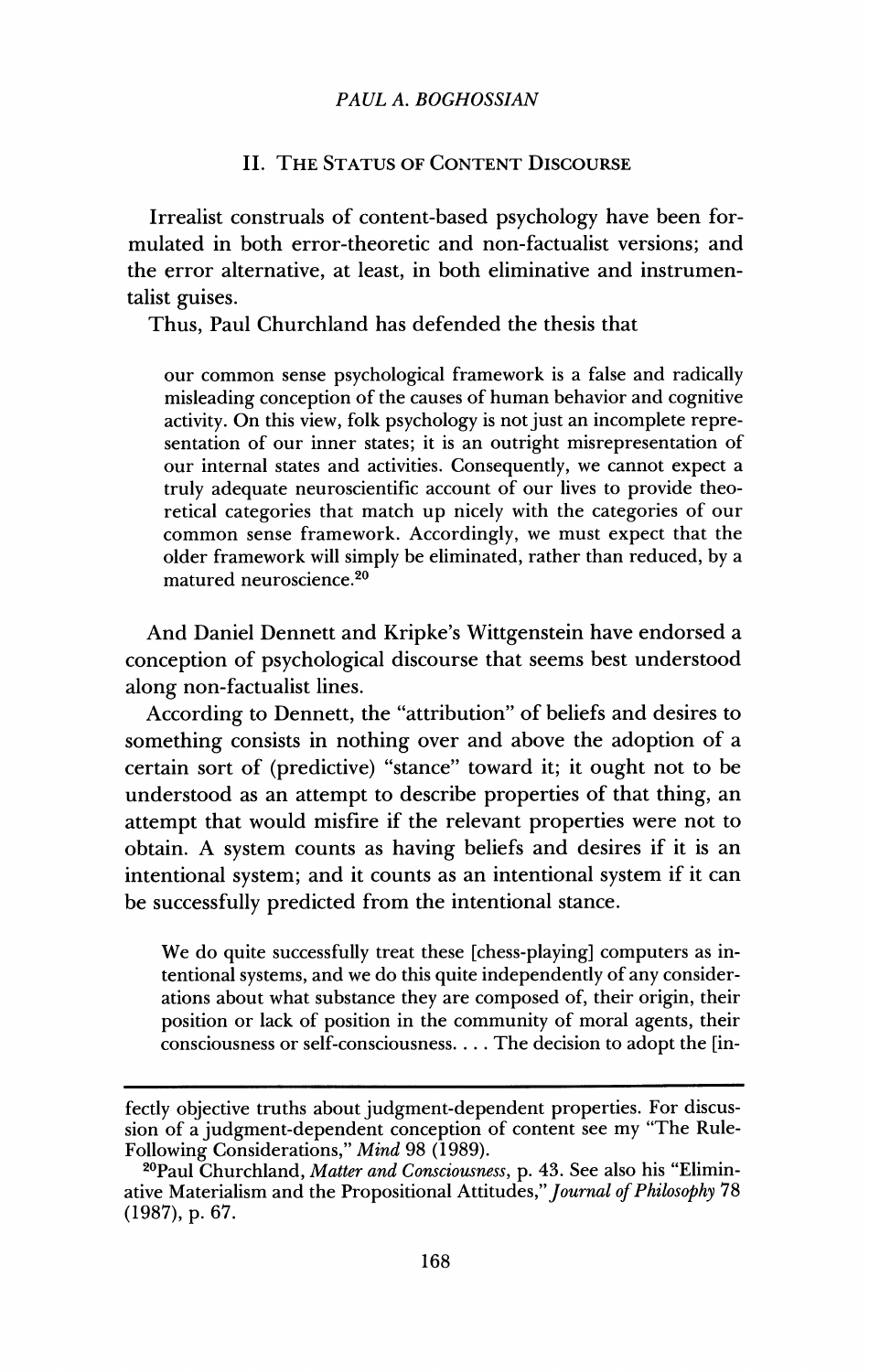#### *PAUL A. BOGHOSSIAN*

# II. THE STATUS OF CONTENT DISCOURSE

Irrealist construals of content-based psychology have been formulated in both error-theoretic and non-factualist versions; and the error alternative, at least, in both eliminative and instrumentalist guises.

Thus, Paul Churchland has defended the thesis that

our common sense psychological framework is a false and radically misleading conception of the causes of human behavior and cognitive activity. On this view, folk psychology is not just an incomplete representation of our inner states; it is an outright misrepresentation of our internal states and activities. Consequently, we cannot expect a truly adequate neuroscientific account of our lives to provide theoretical categories that match up nicely with the categories of our common sense framework. Accordingly, we must expect that the older framework will simply be eliminated, rather than reduced, by a matured neuroscience.<sup>20</sup>

And Daniel Dennett and Kripke's Wittgenstein have endorsed a conception of psychological discourse that seems best understood along non-factualist lines.

According to Dennett, the "attribution" of beliefs and desires to something consists in nothing over and above the adoption of a certain sort of (predictive) "stance" toward it; it ought not to be understood as an attempt to describe properties of that thing, an attempt that would misfire if the relevant properties were not to obtain. A system counts as having beliefs and desires if it is an intentional system; and it counts as an intentional system if it can be successfully predicted from the intentional stance.

We do quite successfully treat these [chess-playing] computers as intentional systems, and we do this quite independently of any considerations about what substance they are composed of, their origin, their position or lack of position in the community of moral agents, their consciousness or self-consciousness. . . . The decision to adopt the [in-

fectly objective truths about judgment-dependent properties. For discussion of a judgment-dependent conception of content see my "The Rule-Following Considerations," *Mind* 98 (1989).

<sup>20</sup>Paul Churchland, *Matter and Consciousness,* p. 43. See also his "Eliminative Materialism and the Propositional Attitudes," *Journal ofPhilosophy* 78 (1987), p. 67.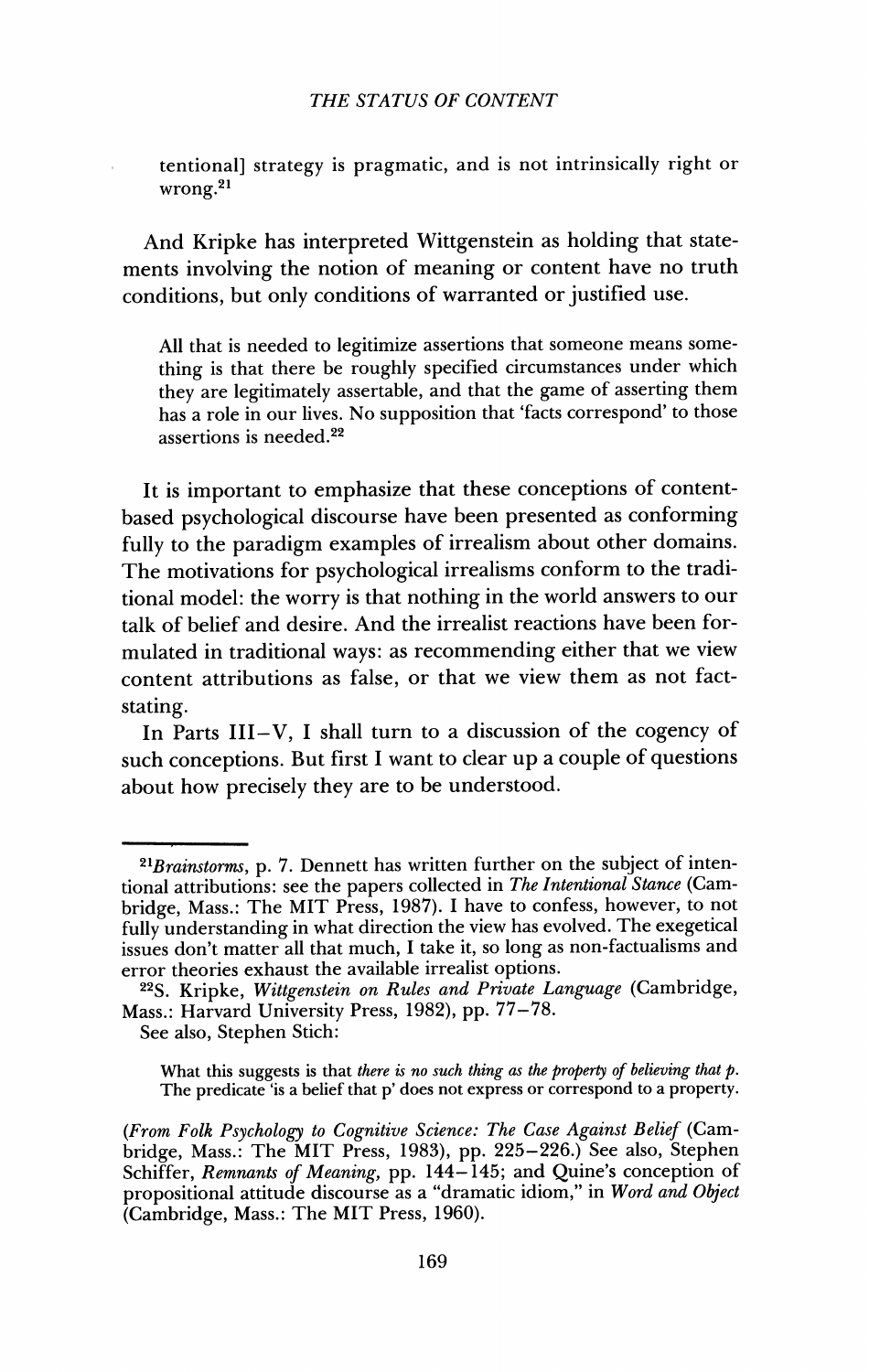tentional] strategy is pragmatic, and is not intrinsically right or wrong.<sup>21</sup>

And Kripke has interpreted Wittgenstein as holding that statements involving the notion of meaning or content have no truth conditions, but only conditions of warranted or justified use.

All that is needed to legitimize assertions that someone means something is that there be roughly specified circumstances under which they are legitimately assertable, and that the game of asserting them has a role in our lives. No supposition that 'facts correspond' to those assertions is needed.<sup>22</sup>

It is important to emphasize that these conceptions of contentbased psychological discourse have been presented as conforming fully to the paradigm examples of irrealism about other domains. The motivations for psychological irrealisms conform to the traditional model: the worry is that nothing in the world answers to our talk of belief and desire. And the irrealist reactions have been formulated in traditional ways: as recommending either that we view content attributions as false, or that we view them as not factstating.

In Parts III-V, I shall turn to a discussion of the cogency of such conceptions. But first I want to clear up a couple of questions about how precisely they are to be understood.

See also, Stephen Stich:

<sup>21</sup>*Brainstorms,* p. 7. Dennett has written further on the subject of intentional attributions: see the papers collected in *The Intentional Stance* (Cambridge, Mass.: The MIT Press, 1987). I have to confess, however, to not fully understanding in what direction the view has evolved. The exegetical issues don't matter all that much, I take it, so long as non-factualisms and error theories exhaust the available irrealist options.

<sup>22</sup>S. Kripke, *Wittgenstein on Rules and Private Language* (Cambridge, Mass.: Harvard University Press, 1982), pp. 77—78.

What this suggests is that *there is no such thing as the property of believing that p.* The predicate 'is a belief that p' does not express or correspond to a property.

*<sup>(</sup>From Folk Psychology to Cognitive Science: The Case Against Belief* (Cambridge, Mass.: The MIT Press, 1983), pp. 225-226.) See also, Stephen Schiffer, *Remnants of Meaning,* pp. 144-145; and Quine's conception of propositional attitude discourse as a "dramatic idiom," in *Word and Object* (Cambridge, Mass.: The MIT Press, 1960).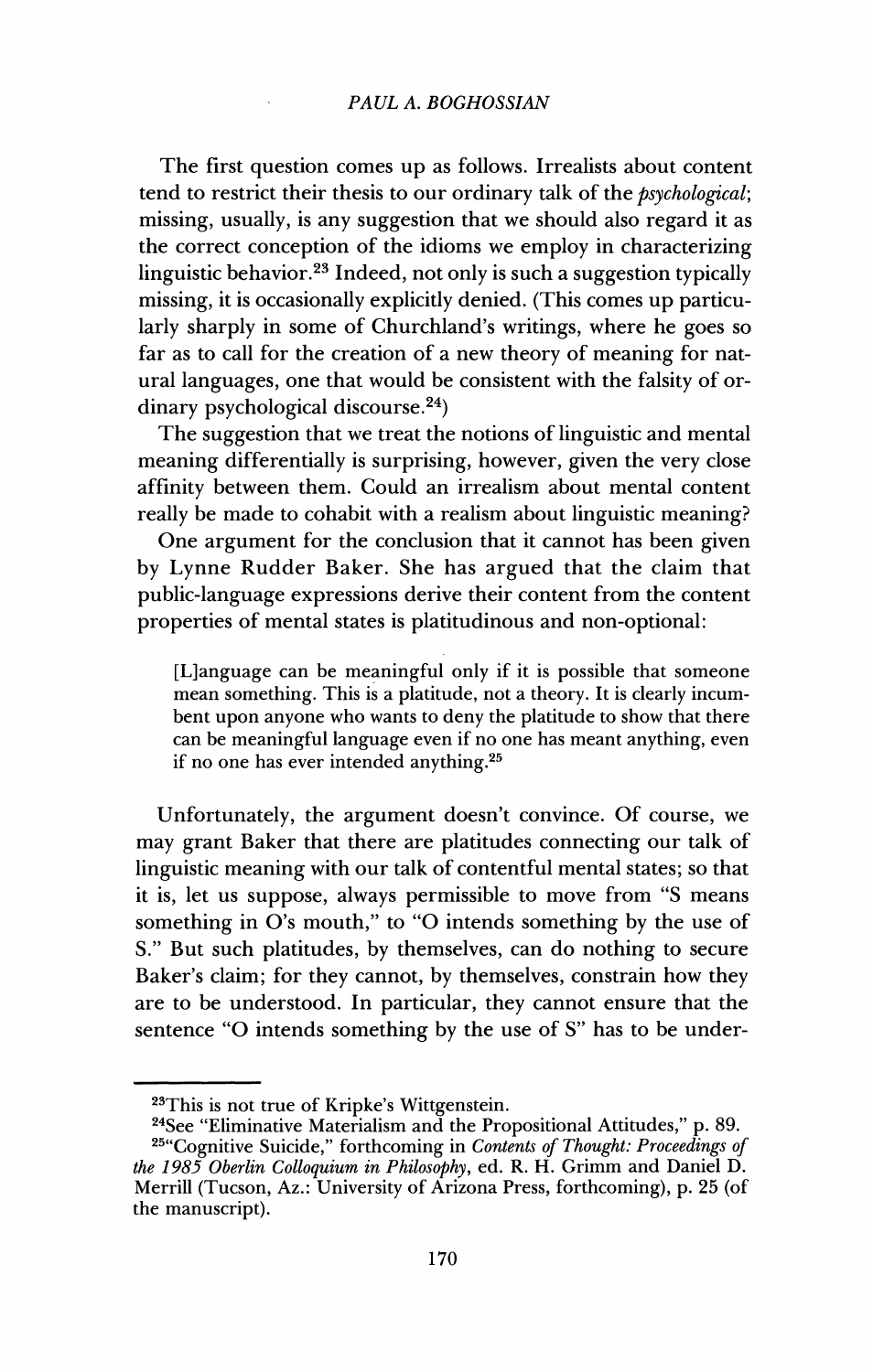The first question comes up as follows. Irrealists about content tend to restrict their thesis to our ordinary talk of the *psychological;*  missing, usually, is any suggestion that we should also regard it as the correct conception of the idioms we employ in characterizing linguistic behavior.<sup>23</sup> Indeed, not only is such a suggestion typically missing, it is occasionally explicitly denied. (This comes up particularly sharply in some of Churchland's writings, where he goes so far as to call for the creation of a new theory of meaning for natural languages, one that would be consistent with the falsity of ordinary psychological discourse.24)

The suggestion that we treat the notions of linguistic and mental meaning differentially is surprising, however, given the very close affinity between them. Could an irrealism about mental content really be made to cohabit with a realism about linguistic meaning?

One argument for the conclusion that it cannot has been given by Lynne Rudder Baker. She has argued that the claim that public-language expressions derive their content from the content properties of mental states is platitudinous and non-optional:

[L]anguage can be meaningful only if it is possible that someone mean something. This is a platitude, not a theory. It is clearly incumbent upon anyone who wants to deny the platitude to show that there can be meaningful language even if no one has meant anything, even if no one has ever intended anything.<sup>25</sup>

Unfortunately, the argument doesn't convince. Of course, we may grant Baker that there are platitudes connecting our talk of linguistic meaning with our talk of contentful mental states; so that it is, let us suppose, always permissible to move from "S means something in O's mouth," to "O intends something by the use of S." But such platitudes, by themselves, can do nothing to secure Baker's claim; for they cannot, by themselves, constrain how they are to be understood. In particular, they cannot ensure that the sentence "O intends something by the use of S" has to be under-

<sup>23</sup>This is not true of Kripke'<sup>s</sup> Wittgenstein.

<sup>24</sup>See "Eliminative Materialism and the Propositional Attitudes," p. 89.

<sup>25</sup>"Cognitive Suicide," forthcoming in *Contents of Thought: Proceedings of the 1985 Oberlin Colloquium in Philosophy,* ed. R. H. Grimm and Daniel D. Merrill (Tucson, Az.: University of Arizona Press, forthcoming), p. 25 (of the manuscript).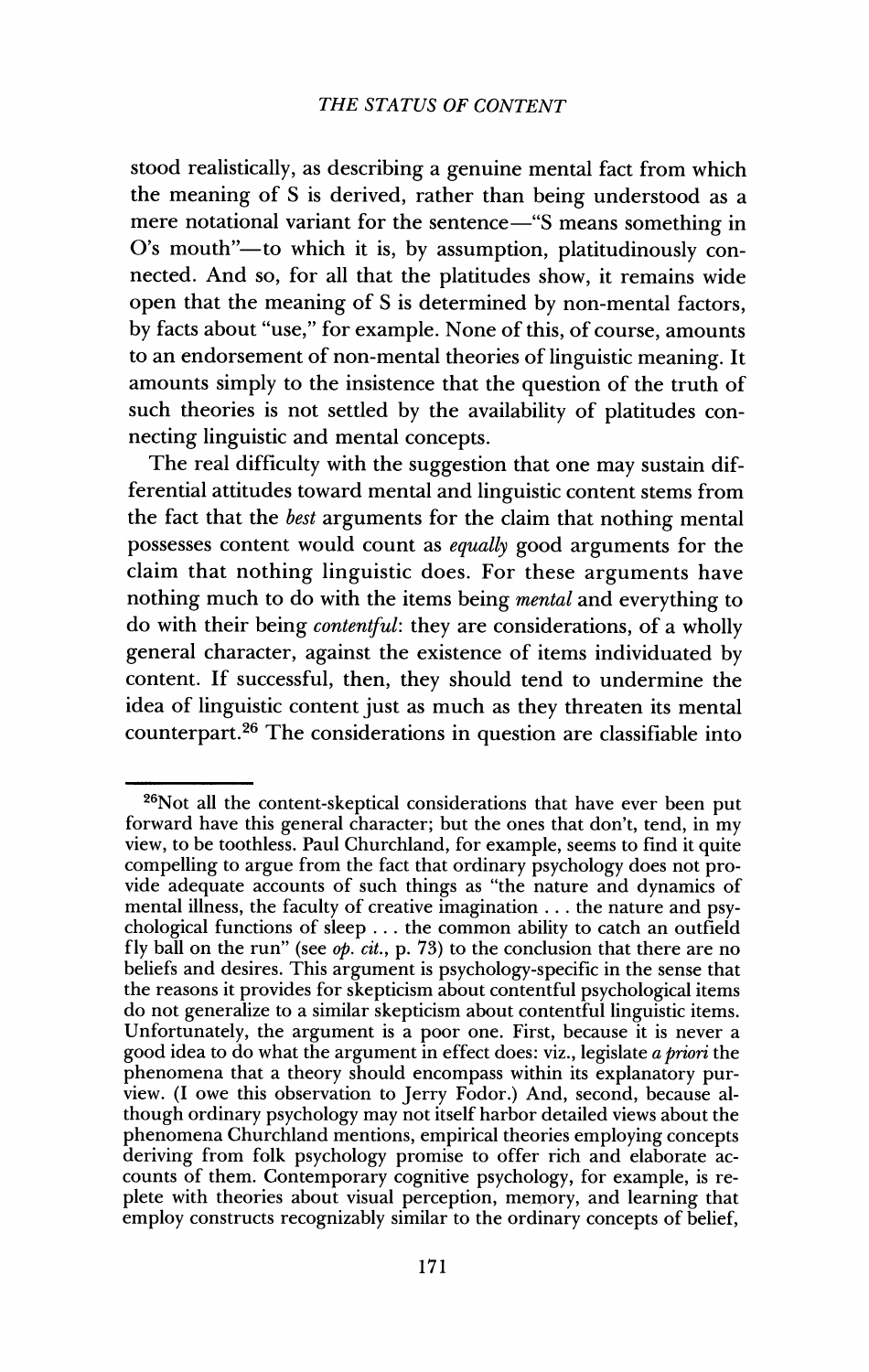stood realistically, as describing a genuine mental fact from which the meaning of S is derived, rather than being understood as a mere notational variant for the sentence—"S means something in O's mouth"—to which it is, by assumption, platitudinously connected. And so, for all that the platitudes show, it remains wide open that the meaning of S is determined by non-mental factors, by facts about "use," for example. None of this, of course, amounts to an endorsement of non-mental theories of linguistic meaning. It amounts simply to the insistence that the question of the truth of such theories is not settled by the availability of platitudes connecting linguistic and mental concepts.

The real difficulty with the suggestion that one may sustain differential attitudes toward mental and linguistic content stems from the fact that the *best* arguments for the claim that nothing mental possesses content would count as *equally* good arguments for the claim that nothing linguistic does. For these arguments have nothing much to do with the items being *mental* and everything to do with their being *contentful;* they are considerations, of a wholly general character, against the existence of items individuated by content. If successful, then, they should tend to undermine the idea of linguistic content just as much as they threaten its mental counterpart.<sup>26</sup> The considerations in question are classifiable into

<sup>26</sup>Not all the content-skeptical considerations that have ever been put forward have this general character; but the ones that don't, tend, in my view, to be toothless. Paul Churchland, for example, seems to find it quite compelling to argue from the fact that ordinary psychology does not provide adequate accounts of such things as "the nature and dynamics of mental illness, the faculty of creative imagination . . . the nature and psychological functions of sleep . . . the common ability to catch an outfield fly ball on the run" (see *op. cit.,* p. 73) to the conclusion that there are no beliefs and desires. This argument is psychology-specific in the sense that the reasons it provides for skepticism about contentful psychological items do not generalize to a similar skepticism about contentful linguistic items. Unfortunately, the argument is a poor one. First, because it is never a good idea to do what the argument in effect does: viz., legislate *a priori* the phenomena that a theory should encompass within its explanatory purview. (I owe this observation to Jerry Fodor.) And, second, because although ordinary psychology may not itself harbor detailed views about the phenomena Churchland mentions, empirical theories employing concepts deriving from folk psychology promise to offer rich and elaborate accounts of them. Contemporary cognitive psychology, for example, is replete with theories about visual perception, memory, and learning that employ constructs recognizably similar to the ordinary concepts of belief,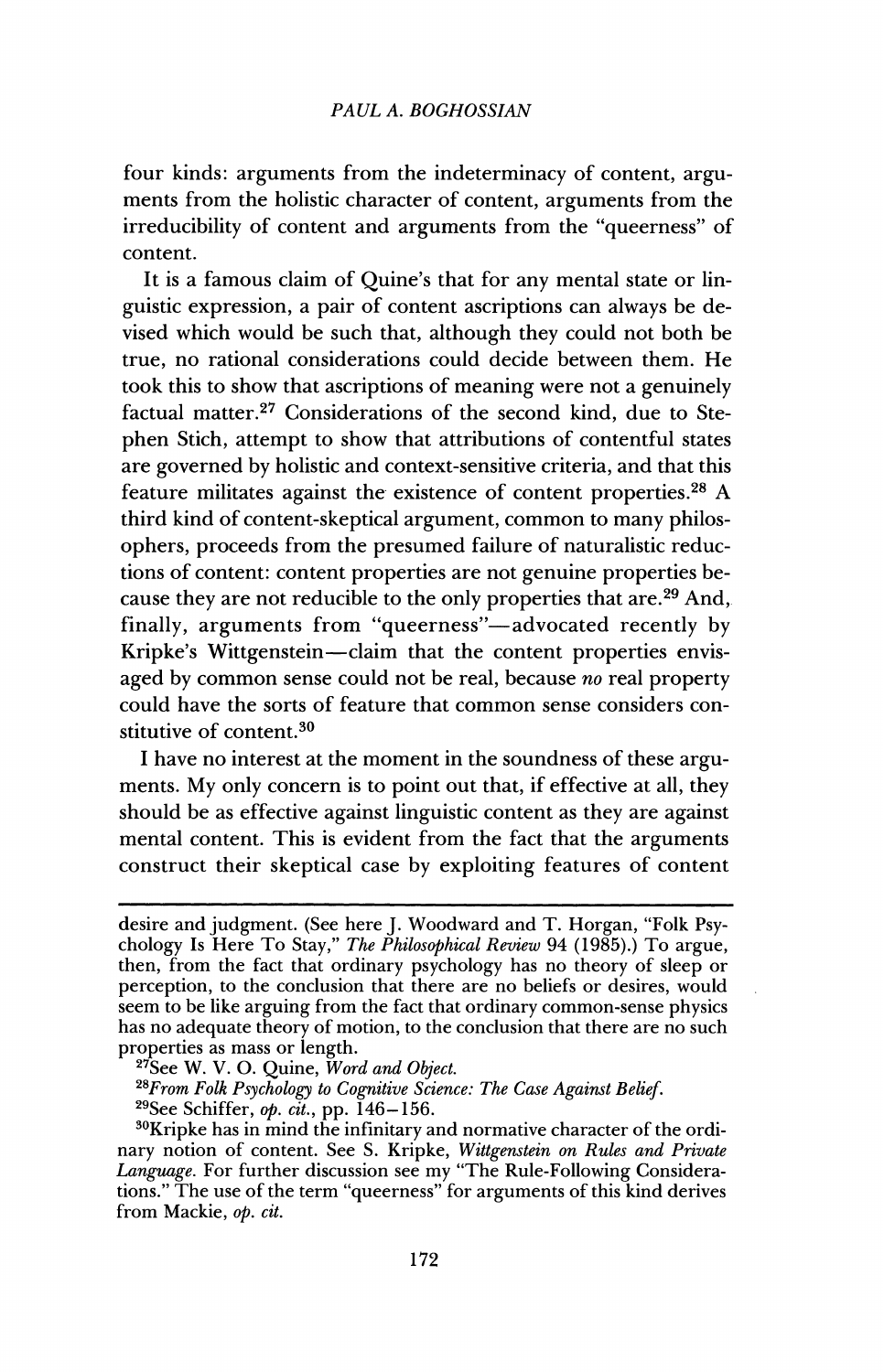four kinds: arguments from the indeterminacy of content, arguments from the holistic character of content, arguments from the irreducibility of content and arguments from the "queerness" of content.

It is a famous claim of Quine's that for any mental state or linguistic expression, a pair of content ascriptions can always be devised which would be such that, although they could not both be true, no rational considerations could decide between them. He took this to show that ascriptions of meaning were not a genuinely factual matter.<sup>27</sup> Considerations of the second kind, due to Stephen Stich, attempt to show that attributions of contentful states are governed by holistic and context-sensitive criteria, and that this feature militates against the existence of content properties.<sup>28</sup> A third kind of content-skeptical argument, common to many philosophers, proceeds from the presumed failure of naturalistic reductions of content: content properties are not genuine properties because they are not reducible to the only properties that are.<sup>29</sup> And, finally, arguments from "queerness"—advocated recently by Kripke's Wittgenstein—claim that the content properties envisaged by common sense could not be real, because *no* real property could have the sorts of feature that common sense considers constitutive of content.<sup>30</sup>

I have no interest at the moment in the soundness of these arguments. My only concern is to point out that, if effective at all, they should be as effective against linguistic content as they are against mental content. This is evident from the fact that the arguments construct their skeptical case by exploiting features of content

<sup>27</sup>See W. V. O. Quine, *Word and Object. <sup>28</sup>From Folk Psychology to Cognitive Science: The Case Against Belief.* <sup>29</sup>See Schiffer, *op. cit.,* pp. 146—156.

<sup>30</sup>Kripke has in mind the infinitary and normative character of the ordinary notion of content. See S. Kripke, *Wittgenstein on Rules and Private Language.* For further discussion see my "The Rule-Following Considerations." The use of the term "queerness" for arguments of this kind derives from Mackie, *op. cit.*

desire and judgment. (See here J. Woodward and T. Horgan, "Folk Psychology Is Here To Stay," *The Philosophical Review* 94 (1985).) To argue, then, from the fact that ordinary psychology has no theory of sleep or perception, to the conclusion that there are no beliefs or desires, would seem to be like arguing from the fact that ordinary common-sense physics has no adequate theory of motion, to the conclusion that there are no such properties as mass or length.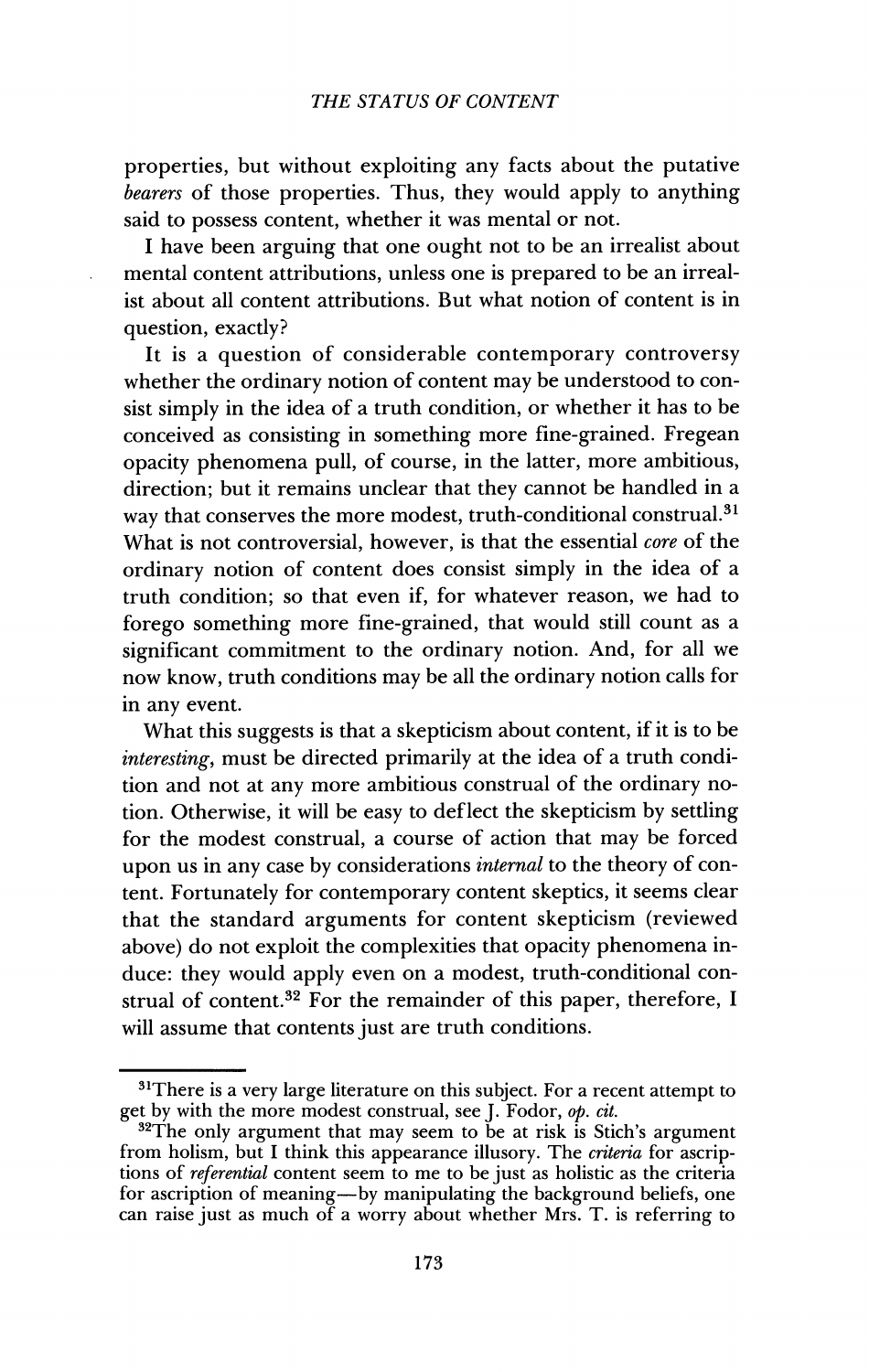properties, but without exploiting any facts about the putative *bearers* of those properties. Thus, they would apply to anything said to possess content, whether it was mental or not.

I have been arguing that one ought not to be an irrealist about mental content attributions, unless one is prepared to be an irrealist about all content attributions. But what notion of content is in question, exactly?

It is a question of considerable contemporary controversy whether the ordinary notion of content may be understood to consist simply in the idea of a truth condition, or whether it has to be conceived as consisting in something more fine-grained. Fregean opacity phenomena pull, of course, in the latter, more ambitious, direction; but it remains unclear that they cannot be handled in a way that conserves the more modest, truth-conditional construal.<sup>31</sup> What is not controversial, however, is that the essential *core* of the ordinary notion of content does consist simply in the idea of a truth condition; so that even if, for whatever reason, we had to forego something more fine-grained, that would still count as a significant commitment to the ordinary notion. And, for all we now know, truth conditions may be all the ordinary notion calls for in any event.

What this suggests is that a skepticism about content, if it is to be *interesting,* must be directed primarily at the idea of a truth condition and not at any more ambitious construal of the ordinary notion. Otherwise, it will be easy to deflect the skepticism by settling for the modest construal, a course of action that may be forced upon us in any case by considerations *internal* to the theory of content. Fortunately for contemporary content skeptics, it seems clear that the standard arguments for content skepticism (reviewed above) do not exploit the complexities that opacity phenomena induce: they would apply even on a modest, truth-conditional construal of content.<sup>32</sup> For the remainder of this paper, therefore, I will assume that contents just are truth conditions.

<sup>&</sup>lt;sup>31</sup>There is a very large literature on this subject. For a recent attempt to get by with the more modest construal, see J. Fodor, *op. cit.*

 $32$ The only argument that may seem to be at risk is Stich's argument from holism, but I think this appearance illusory. The *criteria* for ascriptions of *referential* content seem to me to be just as holistic as the criteria for ascription of meaning—by manipulating the background beliefs, one can raise just as much of a worry about whether Mrs. T. is referring to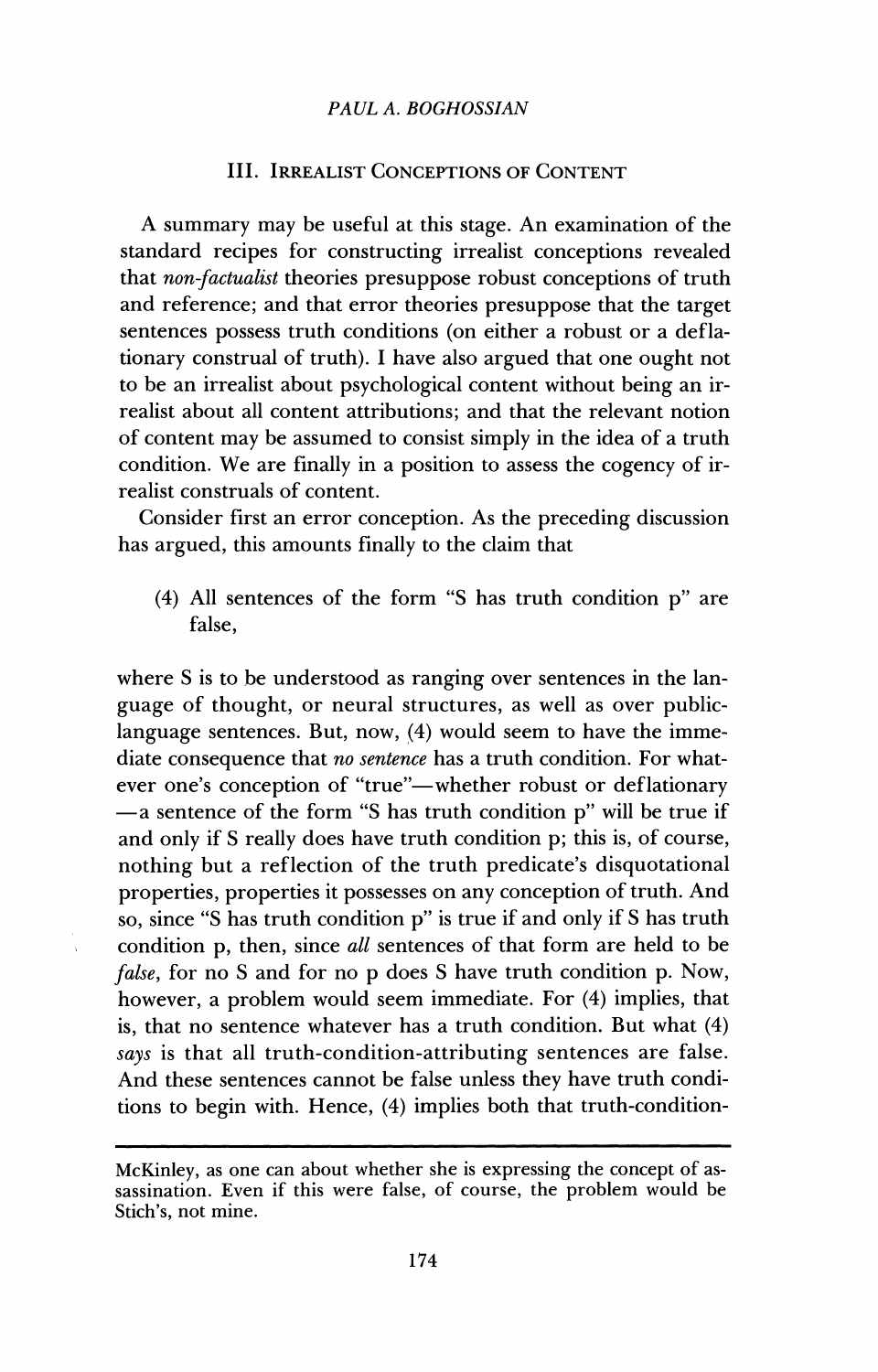#### *PAUL A. BOGHOSSIAN*

#### III. Irrealist Conceptions of Content

A summary may be useful at this stage. An examination of the standard recipes for constructing irrealist conceptions revealed that *non-factualist* theories presuppose robust conceptions of truth and reference; and that error theories presuppose that the target sentences possess truth conditions (on either a robust or a deflationary construal of truth). I have also argued that one ought not to be an irrealist about psychological content without being an irrealist about all content attributions; and that the relevant notion of content may be assumed to consist simply in the idea of a truth condition. We are finally in a position to assess the cogency of irrealist construals of content.

Consider first an error conception. As the preceding discussion has argued, this amounts finally to the claim that

(4) All sentences of the form "S has truth condition p" are false,

where S is to be understood as ranging over sentences in the language of thought, or neural structures, as well as over publiclanguage sentences. But, now, (4) would seem to have the immediate consequence that *no sentence* has a truth condition. For whatever one'<sup>s</sup> conception of "true"—whether robust or deflationary —a sentence of the form "S has truth condition p" will be true if and only if S really does have truth condition p; this is, of course, nothing but a reflection of the truth predicate'<sup>s</sup> disquotational properties, properties it possesses on any conception of truth. And so, since "S has truth condition p" is true if and only if S has truth condition p, then, since *all* sentences of that form are held to be *false,* for no S and for no p does S have truth condition p. Now, however, a problem would seem immediate. For (4) implies, that is, that no sentence whatever has a truth condition. But what (4) *says* is that all truth-condition-attributing sentences are false. And these sentences cannot be false unless they have truth conditions to begin with. Hence, (4) implies both that truth-condition-

McKinley, as one can about whether she is expressing the concept of assassination. Even if this were false, of course, the problem would be Stich's, not mine.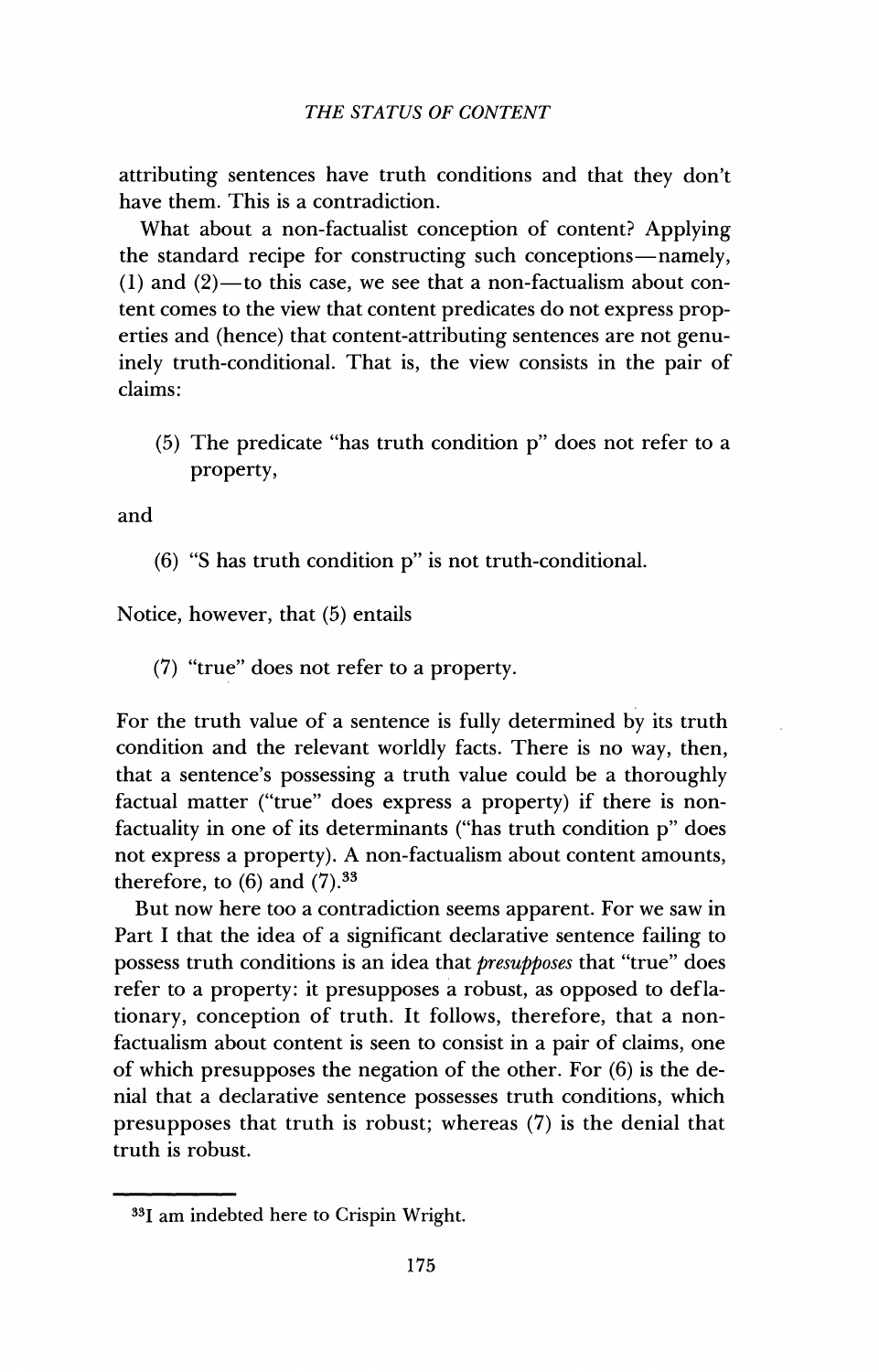attributing sentences have truth conditions and that they don't have them. This is a contradiction.

What about a non-factualist conception of content? Applying the standard recipe for constructing such conceptions—namely, (1) and (2)—to this case, we see that a non-factualism about content comes to the view that content predicates do not express properties and (hence) that content-attributing sentences are not genuinely truth-conditional. That is, the view consists in the pair of claims:

(5) The predicate "has truth condition p" does not refer to a property,

and

(6) "S has truth condition p" is not truth-conditional.

Notice, however, that (5) entails

(7) "true" does not refer to a property.

For the truth value of a sentence is fully determined by its truth condition and the relevant worldly facts. There is no way, then, that a sentence's possessing a truth value could be a thoroughly factual matter ("true" does express a property) if there is nonfactuality in one of its determinants ("has truth condition p" does not express a property). A non-factualism about content amounts, therefore, to  $(6)$  and  $(7).$ <sup>33</sup>

But now here too a contradiction seems apparent. For we saw in Part I that the idea of a significant declarative sentence failing to possess truth conditions is an idea that *presupposes* that "true" does refer to a property: it presupposes a robust, as opposed to deflationary, conception of truth. It follows, therefore, that a nonfactualism about content is seen to consist in a pair of claims, one of which presupposes the negation of the other. For (6) is the denial that a declarative sentence possesses truth conditions, which presupposes that truth is robust; whereas (7) is the denial that truth is robust.

<sup>33</sup>I am indebted here to Crispin Wright.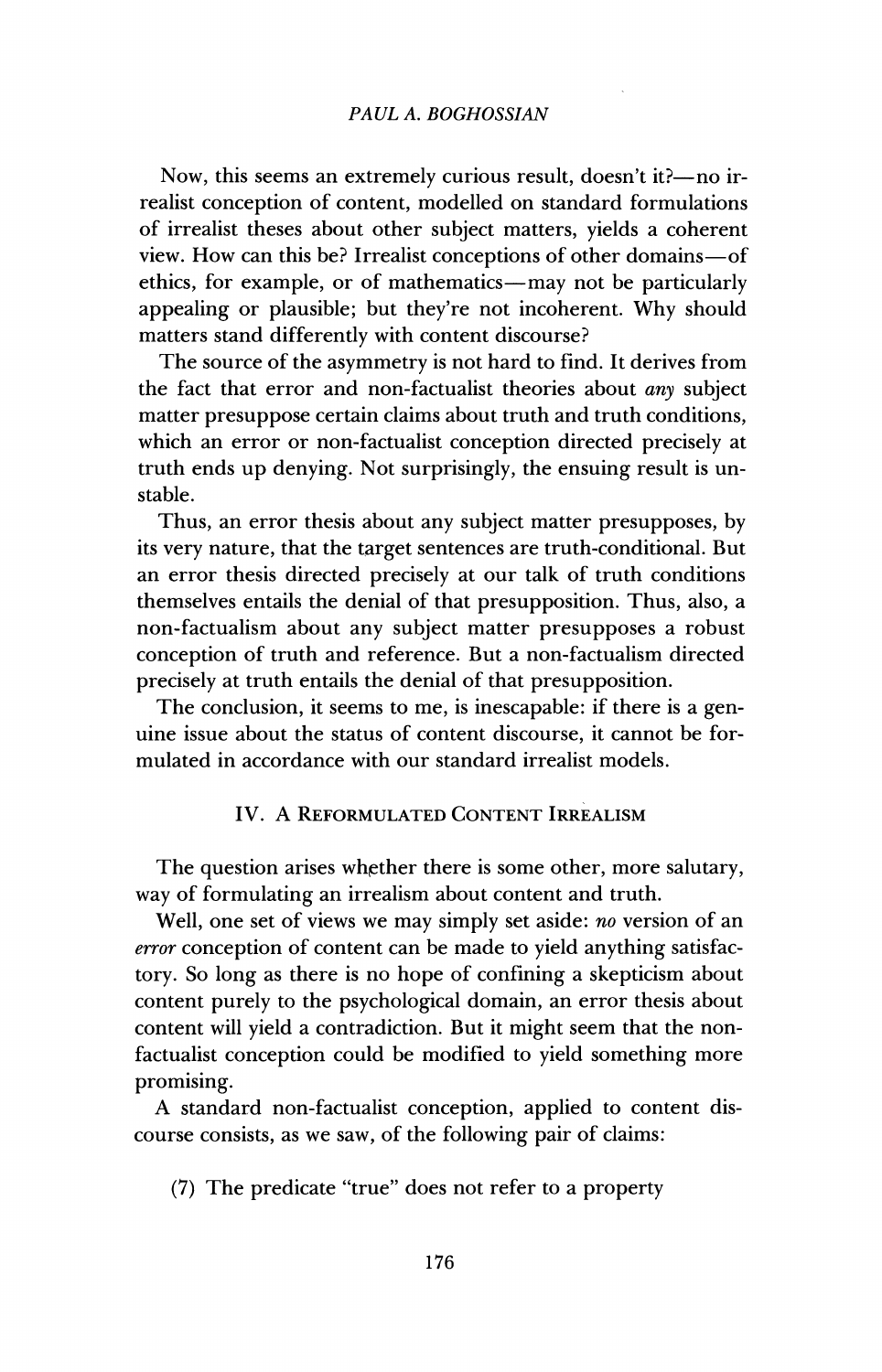Now, this seems an extremely curious result, doesn't it?—no irrealist conception of content, modelled on standard formulations of irrealist theses about other subject matters, yields a coherent view. How can this be? Irrealist conceptions of other domains—of ethics, for example, or of mathematics—may not be particularly appealing or plausible; but they're not incoherent. Why should matters stand differently with content discourse?

The source of the asymmetry is not hard to find. It derives from the fact that error and non-factualist theories about *any* subject matter presuppose certain claims about truth and truth conditions, which an error or non-factualist conception directed precisely at truth ends up denying. Not surprisingly, the ensuing result is unstable.

Thus, an error thesis about any subject matter presupposes, by its very nature, that the target sentences are truth-conditional. But an error thesis directed precisely at our talk of truth conditions themselves entails the denial of that presupposition. Thus, also, a non-factualism about any subject matter presupposes a robust conception of truth and reference. But a non-factualism directed precisely at truth entails the denial of that presupposition.

The conclusion, it seems to me, is inescapable: if there is a genuine issue about the status of content discourse, it cannot be formulated in accordance with our standard irrealist models.

# IV. A Reformulated Content Irrealism

The question arises whether there is some other, more salutary, way of formulating an irrealism about content and truth.

Well, one set of views we may simply set aside: *no* version of an *error* conception of content can be made to yield anything satisfactory. So long as there is no hope of confining a skepticism about content purely to the psychological domain, an error thesis about content will yield a contradiction. But it might seem that the nonfactualist conception could be modified to yield something more promising.

A standard non-factualist conception, applied to content discourse consists, as we saw, of the following pair of claims:

(7) The predicate "true" does not refer to a property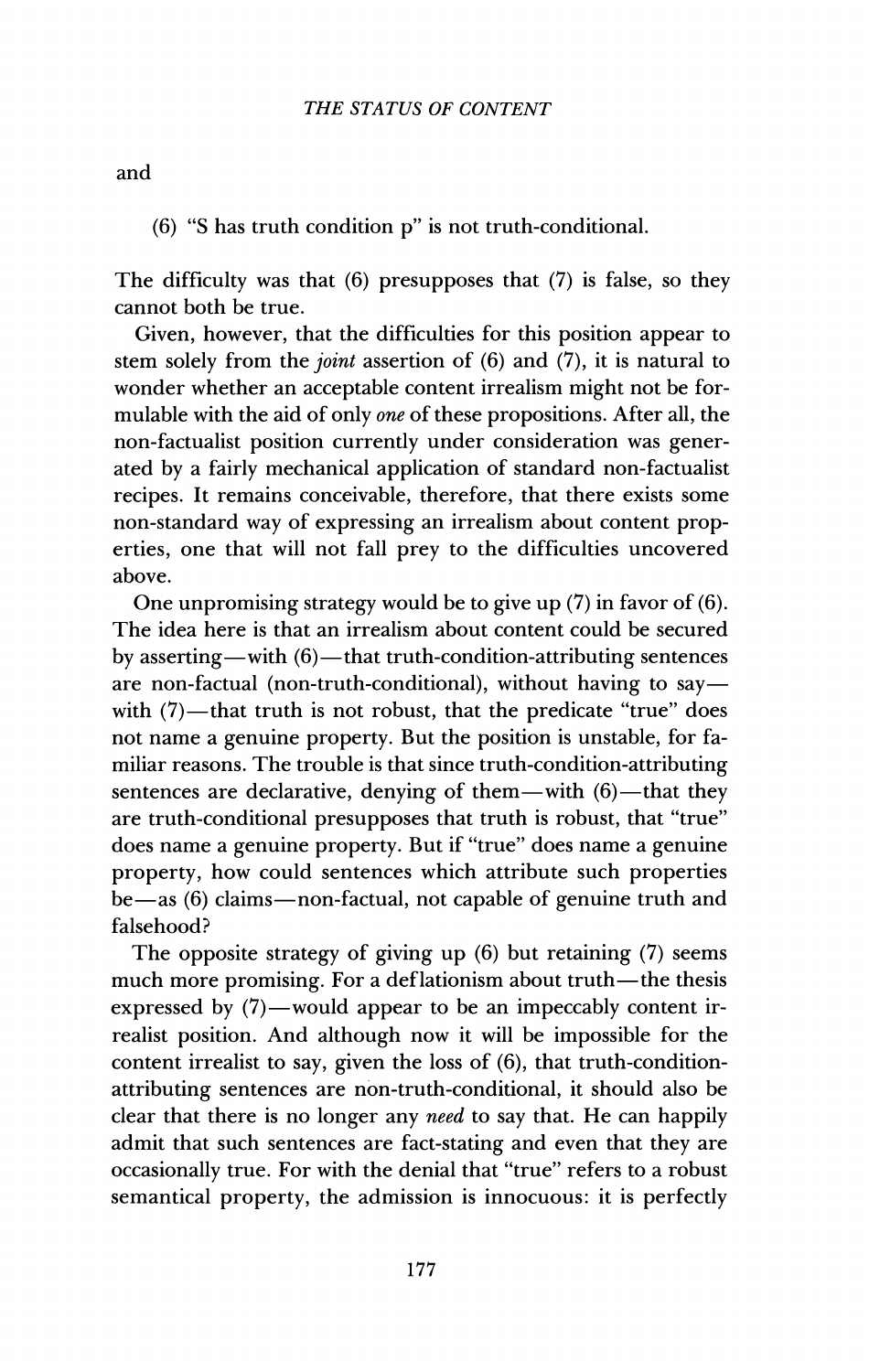and

(6) "S has truth condition p" is not truth-conditional.

The difficulty was that (6) presupposes that (7) is false, so they cannot both be true.

Given, however, that the difficulties for this position appear to stem solely from the *joint* assertion of  $(6)$  and  $(7)$ , it is natural to wonder whether an acceptable content irrealism might not be formulable with the aid of only *one* of these propositions. After all, the non-factualist position currently under consideration was generated by a fairly mechanical application of standard non-factualist recipes. It remains conceivable, therefore, that there exists some non-standard way of expressing an irrealism about content properties, one that will not fall prey to the difficulties uncovered above.

One unpromising strategy would be to give up (7) in favor of (6). The idea here is that an irrealism about content could be secured by asserting—with (6)—that truth-condition-attributing sentences are non-factual (non-truth-conditional), without having to say with (7)—that truth is not robust, that the predicate "true" does not name a genuine property. But the position is unstable, for familiar reasons. The trouble is that since truth-condition-attributing sentences are declarative, denying of them—with (6)—that they are truth-conditional presupposes that truth is robust, that "true" does name a genuine property. But if "true" does name a genuine property, how could sentences which attribute such properties be—as (6) claims—non-factual, not capable of genuine truth and falsehood?

The opposite strategy of giving up (6) but retaining (7) seems much more promising. For a deflationism about truth—the thesis expressed by (7)—would appear to be an impeccably content irrealist position. And although now it will be impossible for the content irrealist to say, given the loss of (6), that truth-conditionattributing sentences are non-truth-conditional, it should also be clear that there is no longer any *need* to say that. He can happily admit that such sentences are fact-stating and even that they are occasionally true. For with the denial that "true" refers to a robust semantical property, the admission is innocuous: it is perfectly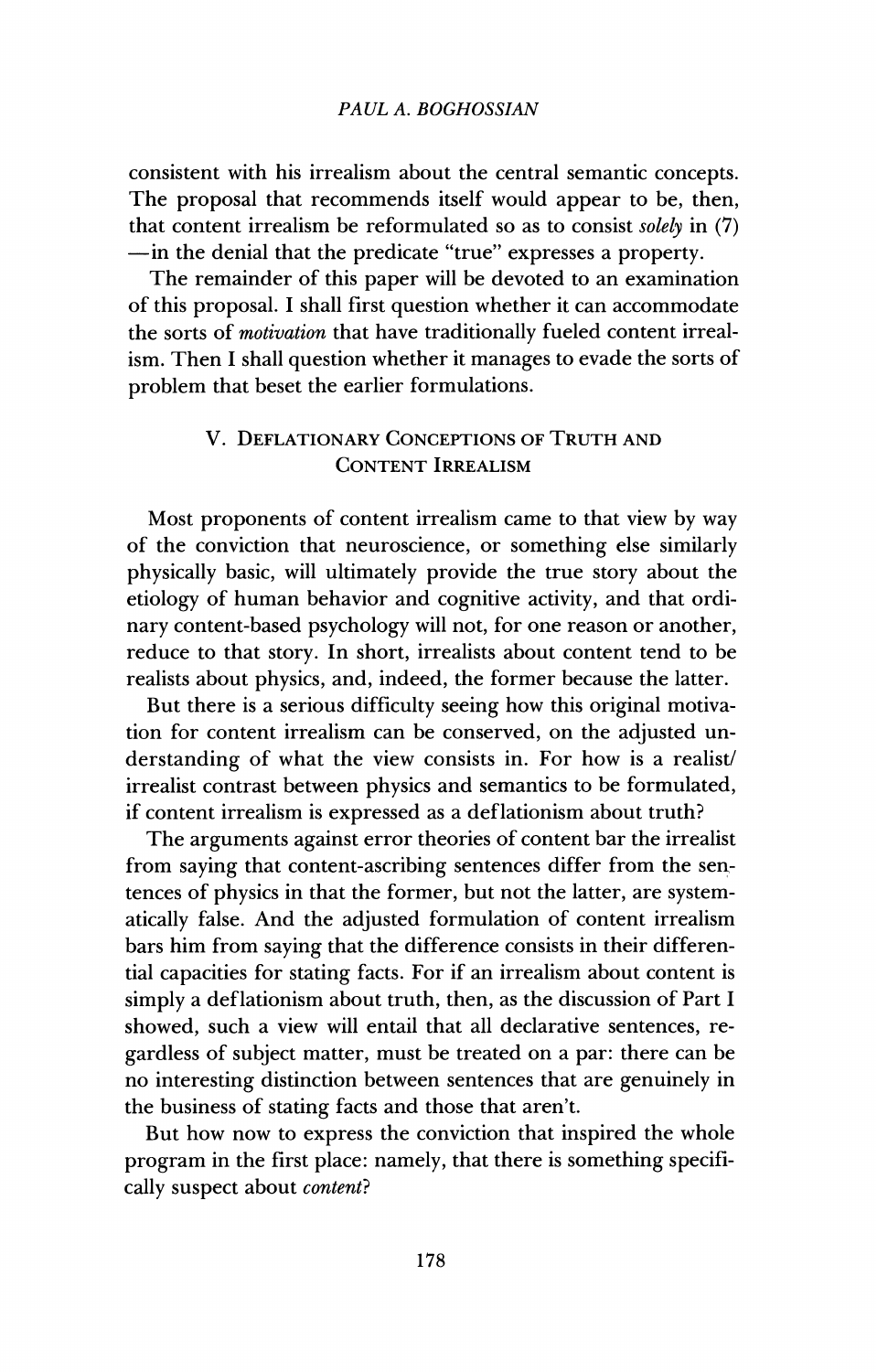#### *PAUL A. BOGHOSSIAN*

consistent with his irrealism about the central semantic concepts. The proposal that recommends itself would appear to be, then, that content irrealism be reformulated so as to consist *solely* in (7) —in the denial that the predicate "true" expresses a property.

The remainder of this paper will be devoted to an examination of this proposal. I shall first question whether it can accommodate the sorts of *motivation* that have traditionally fueled content irrealism. Then I shall question whether it manages to evade the sorts of problem that beset the earlier formulations.

# V. Deflationary Conceptions of Truth and CONTENT IRREALISM

Most proponents of content irrealism came to that view by way of the conviction that neuroscience, or something else similarly physically basic, will ultimately provide the true story about the etiology of human behavior and cognitive activity, and that ordinary content-based psychology will not, for one reason or another, reduce to that story. In short, irrealists about content tend to be realists about physics, and, indeed, the former because the latter.

But there is a serious difficulty seeing how this original motivation for content irrealism can be conserved, on the adjusted understanding of what the view consists in. For how is a realist/ irrealist contrast between physics and semantics to be formulated, if content irrealism is expressed as a deflationism about truth?

The arguments against error theories of content bar the irrealist from saying that content-ascribing sentences differ from the sentences of physics in that the former, but not the latter, are systematically false. And the adjusted formulation of content irrealism bars him from saying that the difference consists in their differential capacities for stating facts. For if an irrealism about content is simply a deflationism about truth, then, as the discussion of Part I showed, such a view will entail that all declarative sentences, regardless of subject matter, must be treated on a par: there can be no interesting distinction between sentences that are genuinely in the business of stating facts and those that aren't.

But how now to express the conviction that inspired the whole program in the first place: namely, that there is something specifically suspect about *content?*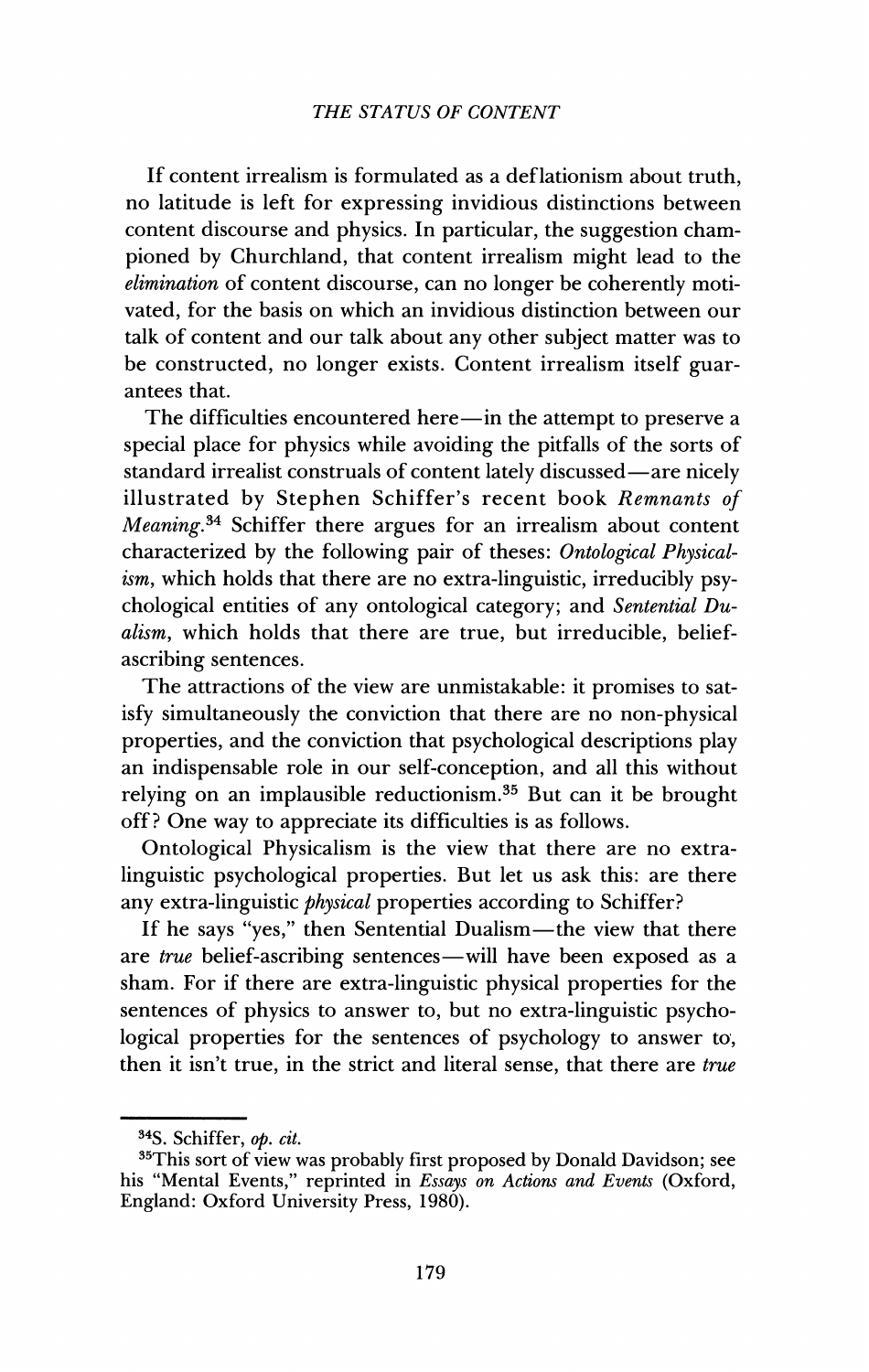If content irrealism is formulated as a deflationism about truth, no latitude is left for expressing invidious distinctions between content discourse and physics. In particular, the suggestion championed by Churchland, that content irrealism might lead to the *elimination* of content discourse, can no longer be coherently motivated, for the basis on which an invidious distinction between our talk of content and our talk about any other subject matter was to be constructed, no longer exists. Content irrealism itself guarantees that.

The difficulties encountered here—in the attempt to preserve a special place for physics while avoiding the pitfalls of the sorts of standard irrealist construals of content lately discussed—are nicely illustrated by Stephen Schiffer'<sup>s</sup> recent book *Remnants of Meaning.<sup>34</sup>* Schiffer there argues for an irrealism about content characterized by the following pair of theses: *Ontological Physicalism,* which holds that there are no extra-linguistic, irreducibly psychological entities of any ontological category; and *Sentential Dualism,* which holds that there are true, but irreducible, beliefascribing sentences.

The attractions of the view are unmistakable: it promises to satisfy simultaneously the conviction that there are no non-physical properties, and the conviction that psychological descriptions play an indispensable role in our self-conception, and all this without relying on an implausible reductionism.<sup>35</sup> But can it be brought off? One way to appreciate its difficulties is as follows.

Ontological Physicalism is the view that there are no extralinguistic psychological properties. But let us ask this: are there any extra-linguistic *physical* properties according to Schiffer?

If he says "yes," then Sentential Dualism—the view that there are *true* belief-ascribing sentences—will have been exposed as a sham. For if there are extra-linguistic physical properties for the sentences of physics to answer to, but no extra-linguistic psychological properties for the sentences of psychology to answer to, then it isn't true, in the strict and literal sense, that there are *true*

<sup>34</sup>S. Schiffer, *op. cit.*

<sup>&</sup>lt;sup>35</sup>This sort of view was probably first proposed by Donald Davidson; see his "Mental Events," reprinted in *Essays on Actions and Events* (Oxford, England: Oxford University Press, 1980).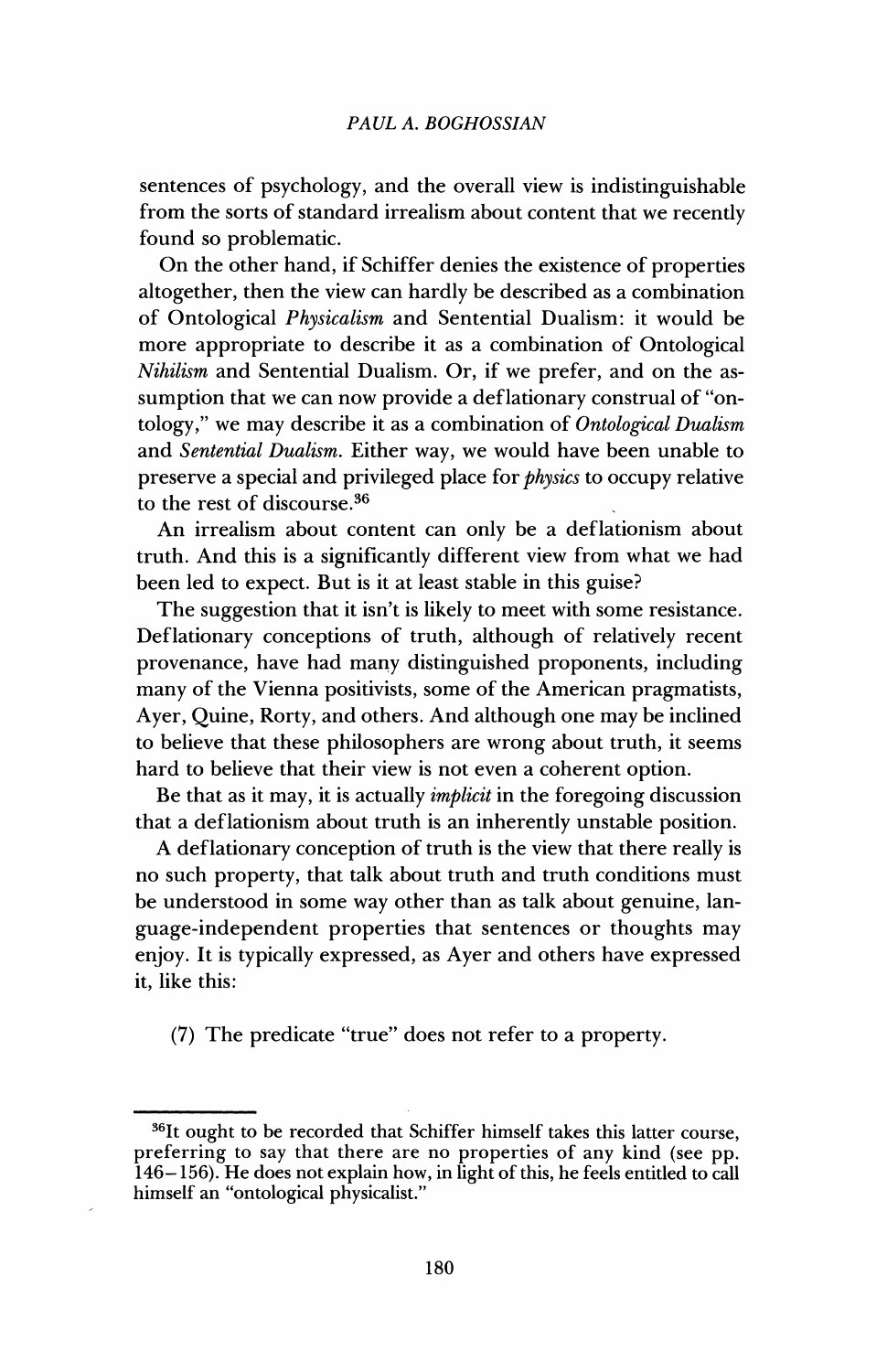sentences of psychology, and the overall view is indistinguishable from the sorts of standard irrealism about content that we recently found so problematic.

On the other hand, if Schiffer denies the existence of properties altogether, then the view can hardly be described as a combination of Ontological *Physicalism* and Sentential Dualism: it would be more appropriate to describe it as a combination of Ontological *Nihilism* and Sentential Dualism. Or, if we prefer, and on the assumption that we can now provide a deflationary construal of "ontology," we may describe it as a combination of *Ontological Dualism* and *Sentential Dualism.* Either way, we would have been unable to preserve a special and privileged place for *physics* to occupy relative to the rest of discourse.<sup>36</sup>

An irrealism about content can only be a deflationism about truth. And this is a significantly different view from what we had been led to expect. But is it at least stable in this guise?

The suggestion that it isn't is likely to meet with some resistance. Deflationary conceptions of truth, although of relatively recent provenance, have had many distinguished proponents, including many of the Vienna positivists, some of the American pragmatists, Ayer, Quine, Rorty, and others. And although one may be inclined to believe that these philosophers are wrong about truth, it seems hard to believe that their view is not even a coherent option.

Be that as it may, it is actually *implicit* in the foregoing discussion that a deflationism about truth is an inherently unstable position.

A deflationary conception of truth is the view that there really is no such property, that talk about truth and truth conditions must be understood in some way other than as talk about genuine, language-independent properties that sentences or thoughts may enjoy. It is typically expressed, as Ayer and others have expressed it, like this:

(7) The predicate "true" does not refer to a property.

<sup>36</sup>It ought to be recorded that Schiffer himself takes this latter course, preferring to say that there are no properties of any kind (see pp. 146-156). He does not explain how, in light ofthis, he feels entitled to call himself an "ontological physicalist."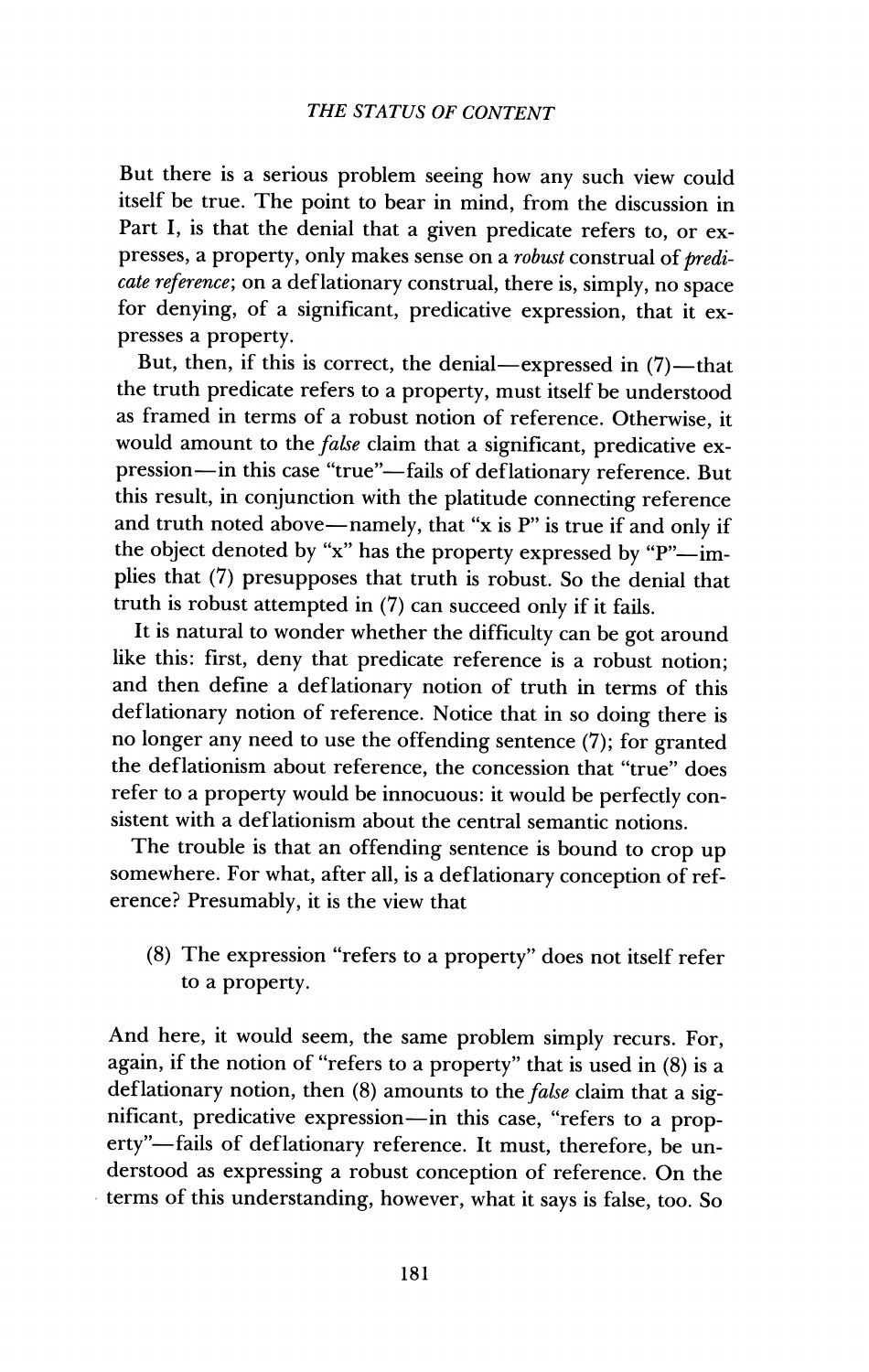But there is a serious problem seeing how any such view could itself be true. The point to bear in mind, from the discussion in Part I, is that the denial that a given predicate refers to, or expresses, a property, only makes sense on a *robust* construal of*predicate reference;* on a deflationary construal, there is, simply, no space for denying, of a significant, predicative expression, that it expresses a property.

But, then, if this is correct, the denial—expressed in (7)—that the truth predicate refers to a property, must itself be understood as framed in terms of a robust notion of reference. Otherwise, it would amount to the *false* claim that a significant, predicative expression—in this case "true"—fails of deflationary reference. But this result, in conjunction with the platitude connecting reference and truth noted above—namely, that "x is P" is true if and only if the object denoted by "x" has the property expressed by "P"—implies that (7) presupposes that truth is robust. So the denial that truth is robust attempted in (7) can succeed only if it fails.

It is natural to wonder whether the difficulty can be got around like this: first, deny that predicate reference is a robust notion; and then define a deflationary notion of truth in terms of this deflationary notion of reference. Notice that in so doing there is no longer any need to use the offending sentence (7); for granted the deflationism about reference, the concession that "true" does refer to a property would be innocuous: it would be perfectly consistent with a deflationism about the central semantic notions.

The trouble is that an offending sentence is bound to crop up somewhere. For what, after all, is a deflationary conception of reference? Presumably, it is the view that

(8) The expression "refers to a property" does not itself refer to a property.

And here, it would seem, the same problem simply recurs. For, again, if the notion of "refers to a property" that is used in (8) is a deflationary notion, then (8) amounts to the *false* claim that a significant, predicative expression—in this case, "refers to a property"—fails of deflationary reference. It must, therefore, be understood as expressing a robust conception of reference. On the terms of this understanding, however, what it says is false, too. So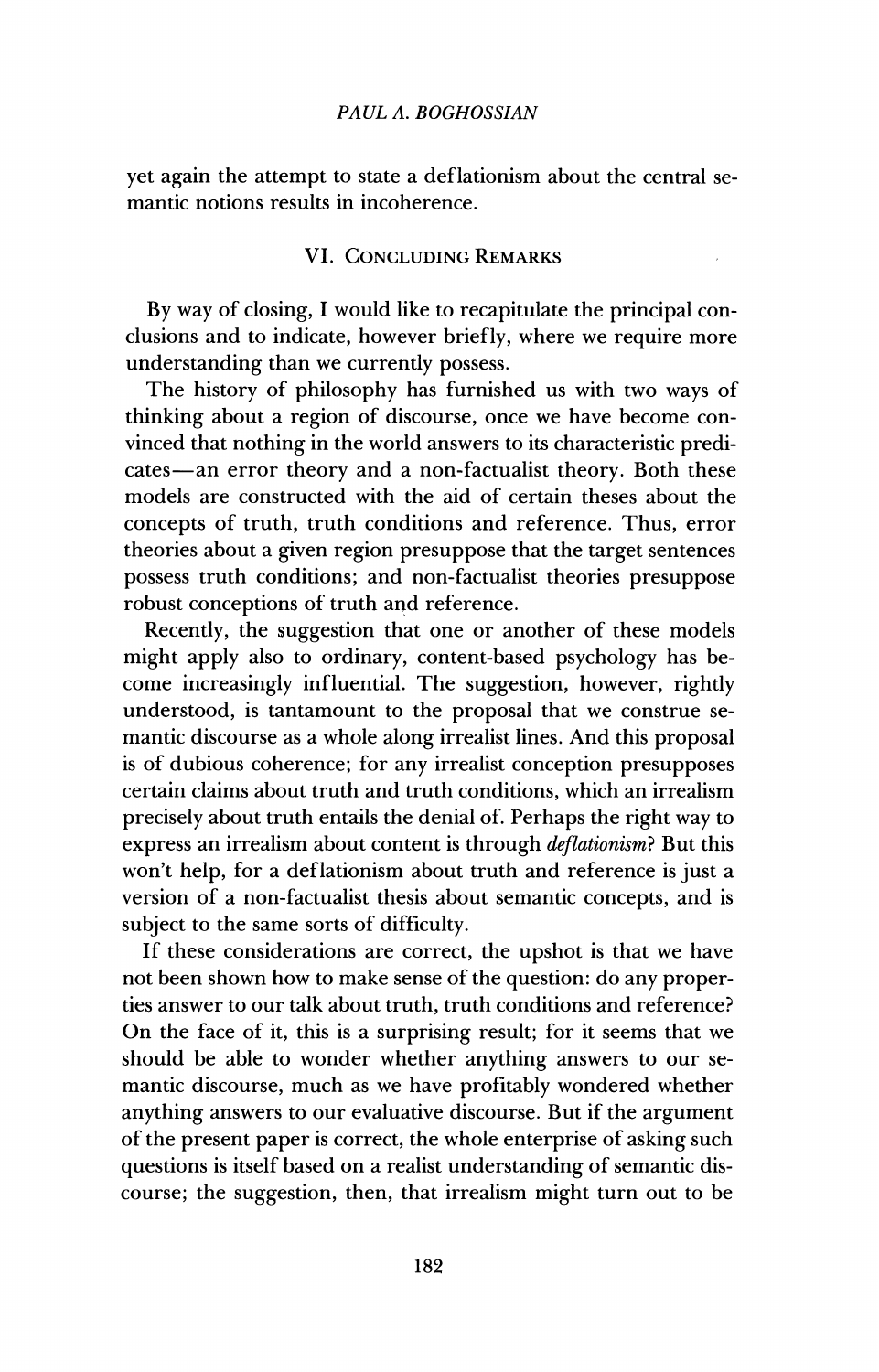#### *PAUL A. BOGHOSSIAN*

*yet* again the attempt to state a deflationism about the central semantic notions results in incoherence.

## VI. Concluding Remarks

By way of closing, I would like to recapitulate the principal conclusions and to indicate, however briefly, where we require more understanding than we currently possess.

The history of philosophy has furnished us with two ways of thinking about a region of discourse, once we have become convinced that nothing in the world answers to its characteristic predicates—an error theory and a non-factualist theory. Both these models are constructed with the aid of certain theses about the concepts of truth, truth conditions and reference. Thus, error theories about a given region presuppose that the target sentences possess truth conditions; and non-factualist theories presuppose robust conceptions of truth and reference.

Recently, the suggestion that one or another of these models might apply also to ordinary, content-based psychology has become increasingly influential. The suggestion, however, rightly understood, is tantamount to the proposal that we construe semantic discourse as a whole along irrealist lines. And this proposal is of dubious coherence; for any irrealist conception presupposes certain claims about truth and truth conditions, which an irrealism precisely about truth entails the denial of. Perhaps the right way to express an irrealism about content is through *deflationism?* But this won't help, for a deflationism about truth and reference is just a version of a non-factualist thesis about semantic concepts, and is subject to the same sorts of difficulty.

If these considerations are correct, the upshot is that we have not been shown how to make sense of the question: do any properties answer to our talk about truth, truth conditions and reference? On the face of it, this is a surprising result; for it seems that we should be able to wonder whether anything answers to our semantic discourse, much as we have profitably wondered whether anything answers to our evaluative discourse. But if the argument of the present paper is correct, the whole enterprise of asking such questions is itself based on a realist understanding of semantic discourse; the suggestion, then, that irrealism might turn out to be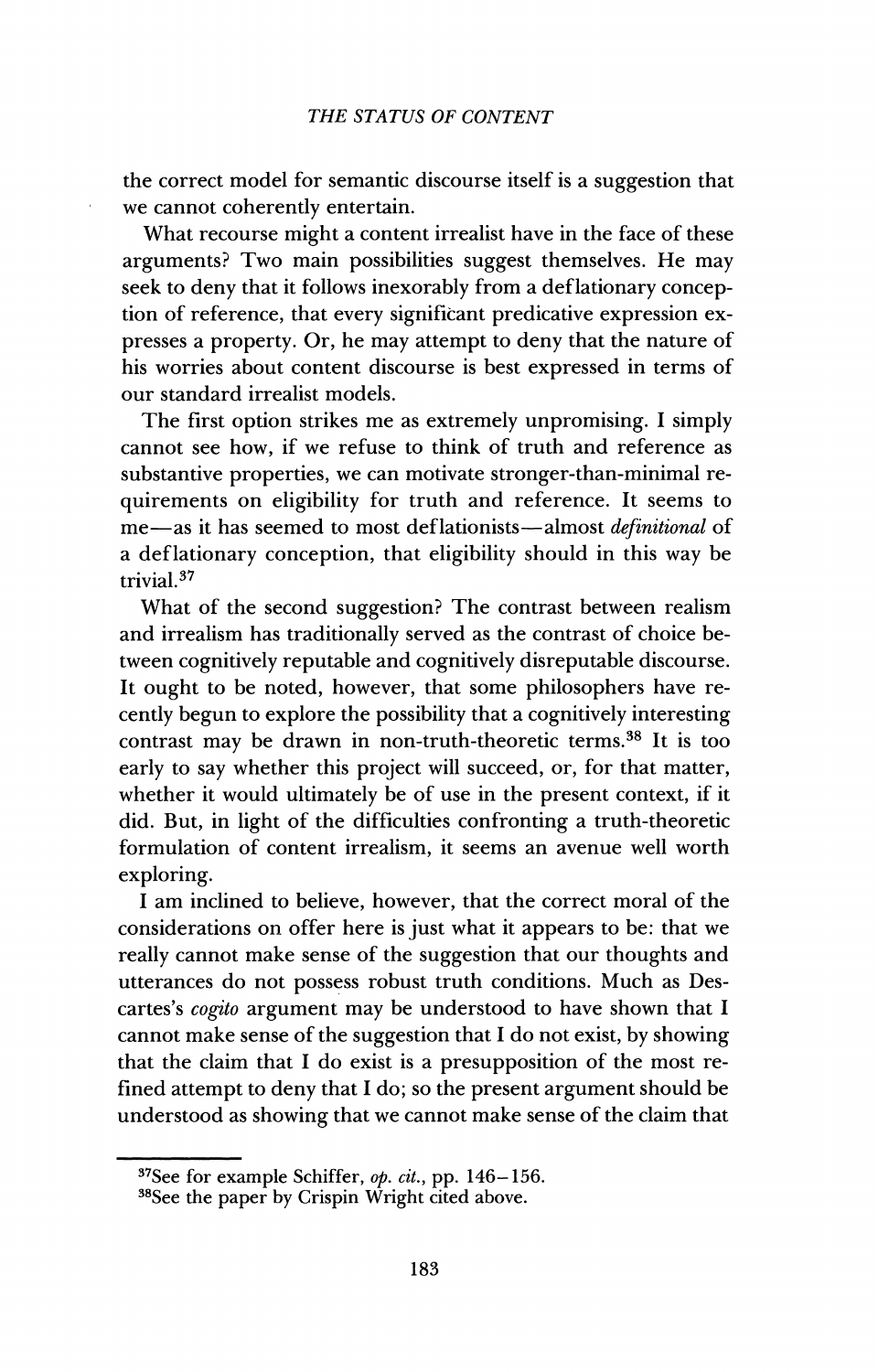the correct model for semantic discourse itself is a suggestion that we cannot coherently entertain.

What recourse might a content irrealist have in the face of these arguments? Two main possibilities suggest themselves. He may seek to deny that it follows inexorably from a deflationary conception of reference, that every significant predicative expression expresses a property. Or, he may attempt to deny that the nature of his worries about content discourse is best expressed in terms of our standard irrealist models.

The first option strikes me as extremely unpromising. I simply cannot see how, if we refuse to think of truth and reference as substantive properties, we can motivate stronger-than-minimal requirements on eligibility for truth and reference. It seems to me—as it has seemed to most deflationists—almost *definitional* of a deflationary conception, that eligibility should in this way be trivial.<sup>37</sup>

What of the second suggestion? The contrast between realism and irrealism has traditionally served as the contrast of choice between cognitively reputable and cognitively disreputable discourse. It ought to be noted, however, that some philosophers have recently begun to explore the possibility that a cognitively interesting contrast may be drawn in non-truth-theoretic terms.<sup>38</sup> It is too early to say whether this project will succeed, or, for that matter, whether it would ultimately be of use in the present context, if it did. But, in light of the difficulties confronting a truth-theoretic formulation of content irrealism, it seems an avenue well worth exploring.

I am inclined to believe, however, that the correct moral of the considerations on offer here is just what it appears to be: that we really cannot make sense of the suggestion that our thoughts and utterances do not possess robust truth conditions. Much as Descartes's *cogito* argument may be understood to have shown that I cannot make sense of the suggestion that I do not exist, by showing that the claim that I do exist is a presupposition of the most refined attempt to deny that I do; so the present argument should be understood as showing that we cannot make sense of the claim that

<sup>37</sup>See for example Schiffer, *op. cit.,* pp. 146-156.

<sup>38</sup>See the paper by Crispin Wright cited above.